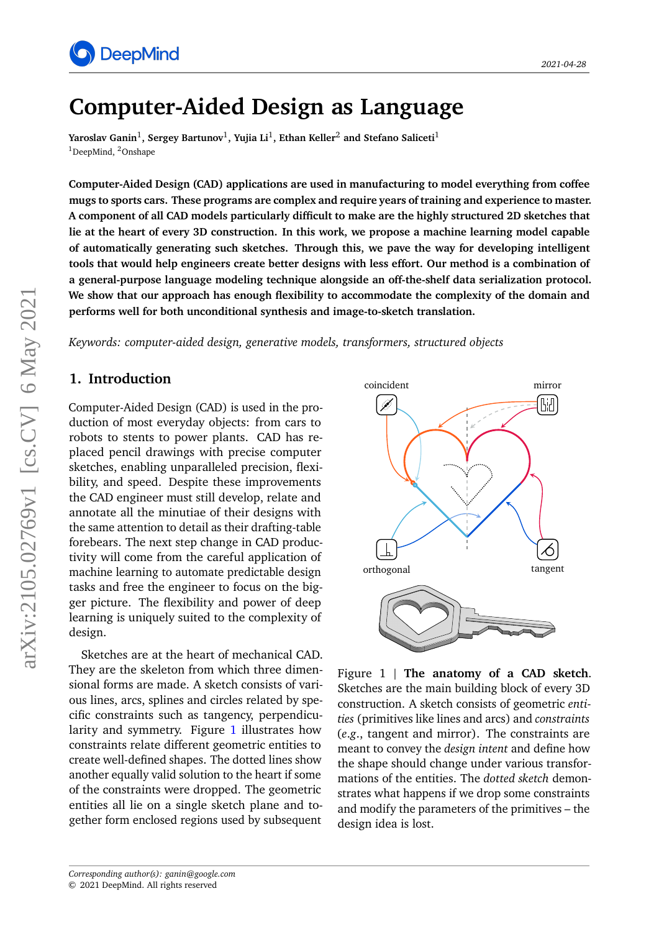

# **Computer-Aided Design as Language**

 $\textbf{Y}$ aroslav Ganin $^1$ , Sergey Bartunov $^1$ , Yujia Li $^1$ , Ethan Keller $^2$  and Stefano Saliceti $^1$ <sup>1</sup>DeepMind, <sup>2</sup>Onshape

**Computer-Aided Design (CAD) applications are used in manufacturing to model everything from coffee mugs to sports cars. These programs are complex and require years of training and experience to master. A component of all CAD models particularly difficult to make are the highly structured 2D sketches that lie at the heart of every 3D construction. In this work, we propose a machine learning model capable of automatically generating such sketches. Through this, we pave the way for developing intelligent tools that would help engineers create better designs with less effort. Our method is a combination of a general-purpose language modeling technique alongside an off-the-shelf data serialization protocol. We show that our approach has enough flexibility to accommodate the complexity of the domain and performs well for both unconditional synthesis and image-to-sketch translation.**

*Keywords: computer-aided design, generative models, transformers, structured objects*

# **1. Introduction**

Computer-Aided Design (CAD) is used in the production of most everyday objects: from cars to robots to stents to power plants. CAD has replaced pencil drawings with precise computer sketches, enabling unparalleled precision, flexibility, and speed. Despite these improvements the CAD engineer must still develop, relate and annotate all the minutiae of their designs with the same attention to detail as their drafting-table forebears. The next step change in CAD productivity will come from the careful application of machine learning to automate predictable design tasks and free the engineer to focus on the bigger picture. The flexibility and power of deep learning is uniquely suited to the complexity of design.

Sketches are at the heart of mechanical CAD. They are the skeleton from which three dimensional forms are made. A sketch consists of various lines, arcs, splines and circles related by specific constraints such as tangency, perpendicularity and symmetry. Figure [1](#page-0-0) illustrates how constraints relate different geometric entities to create well-defined shapes. The dotted lines show another equally valid solution to the heart if some of the constraints were dropped. The geometric entities all lie on a single sketch plane and together form enclosed regions used by subsequent

<span id="page-0-0"></span>

Figure 1 | **The anatomy of a CAD sketch**. Sketches are the main building block of every 3D construction. A sketch consists of geometric *entities* (primitives like lines and arcs) and *constraints* (*e*.*g*., tangent and mirror). The constraints are meant to convey the *design intent* and define how the shape should change under various transformations of the entities. The *dotted sketch* demonstrates what happens if we drop some constraints and modify the parameters of the primitives – the design idea is lost.

*Corresponding author(s): ganin@google.com* © 2021 DeepMind. All rights reserved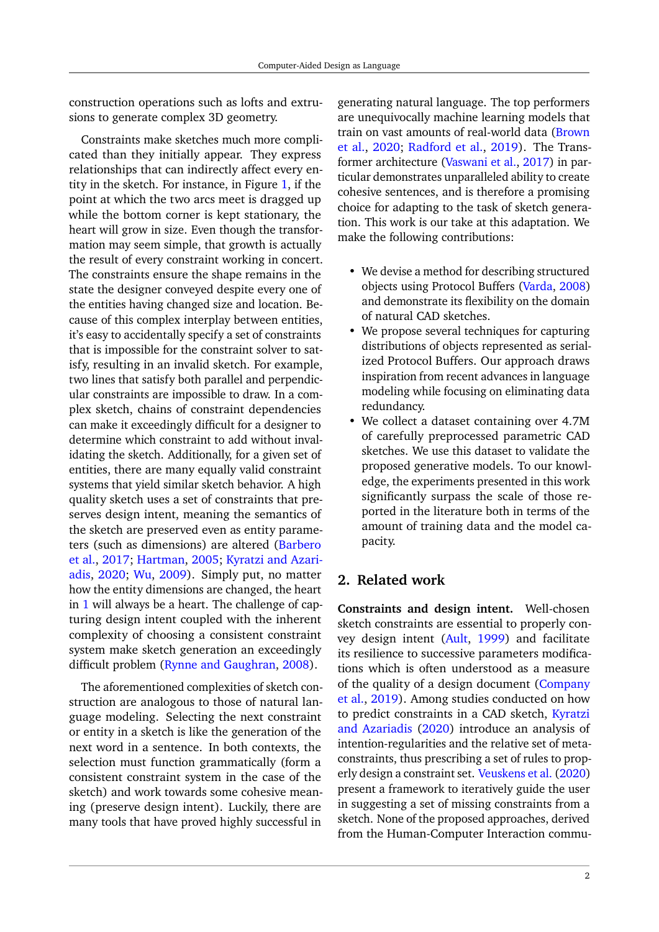construction operations such as lofts and extrusions to generate complex 3D geometry.

Constraints make sketches much more complicated than they initially appear. They express relationships that can indirectly affect every entity in the sketch. For instance, in Figure [1,](#page-0-0) if the point at which the two arcs meet is dragged up while the bottom corner is kept stationary, the heart will grow in size. Even though the transformation may seem simple, that growth is actually the result of every constraint working in concert. The constraints ensure the shape remains in the state the designer conveyed despite every one of the entities having changed size and location. Because of this complex interplay between entities, it's easy to accidentally specify a set of constraints that is impossible for the constraint solver to satisfy, resulting in an invalid sketch. For example, two lines that satisfy both parallel and perpendicular constraints are impossible to draw. In a complex sketch, chains of constraint dependencies can make it exceedingly difficult for a designer to determine which constraint to add without invalidating the sketch. Additionally, for a given set of entities, there are many equally valid constraint systems that yield similar sketch behavior. A high quality sketch uses a set of constraints that preserves design intent, meaning the semantics of the sketch are preserved even as entity parameters (such as dimensions) are altered [\(Barbero](#page-17-0) [et al.,](#page-17-0) [2017;](#page-17-0) [Hartman,](#page-18-0) [2005;](#page-18-0) [Kyratzi and Azari](#page-18-1)[adis,](#page-18-1) [2020;](#page-18-1) [Wu,](#page-19-0) [2009\)](#page-19-0). Simply put, no matter how the entity dimensions are changed, the heart in [1](#page-0-0) will always be a heart. The challenge of capturing design intent coupled with the inherent complexity of choosing a consistent constraint system make sketch generation an exceedingly difficult problem [\(Rynne and Gaughran,](#page-19-1) [2008\)](#page-19-1).

The aforementioned complexities of sketch construction are analogous to those of natural language modeling. Selecting the next constraint or entity in a sketch is like the generation of the next word in a sentence. In both contexts, the selection must function grammatically (form a consistent constraint system in the case of the sketch) and work towards some cohesive meaning (preserve design intent). Luckily, there are many tools that have proved highly successful in

generating natural language. The top performers are unequivocally machine learning models that train on vast amounts of real-world data [\(Brown](#page-17-1) [et al.,](#page-17-1) [2020;](#page-17-1) [Radford et al.,](#page-19-2) [2019\)](#page-19-2). The Transformer architecture [\(Vaswani et al.,](#page-19-3) [2017\)](#page-19-3) in particular demonstrates unparalleled ability to create cohesive sentences, and is therefore a promising choice for adapting to the task of sketch generation. This work is our take at this adaptation. We make the following contributions:

- We devise a method for describing structured objects using Protocol Buffers [\(Varda,](#page-19-4) [2008\)](#page-19-4) and demonstrate its flexibility on the domain of natural CAD sketches.
- We propose several techniques for capturing distributions of objects represented as serialized Protocol Buffers. Our approach draws inspiration from recent advances in language modeling while focusing on eliminating data redundancy.
- We collect a dataset containing over 4.7M of carefully preprocessed parametric CAD sketches. We use this dataset to validate the proposed generative models. To our knowledge, the experiments presented in this work significantly surpass the scale of those reported in the literature both in terms of the amount of training data and the model capacity.

# **2. Related work**

**Constraints and design intent.** Well-chosen sketch constraints are essential to properly convey design intent [\(Ault,](#page-17-2) [1999\)](#page-17-2) and facilitate its resilience to successive parameters modifications which is often understood as a measure of the quality of a design document [\(Company](#page-18-2) [et al.,](#page-18-2) [2019\)](#page-18-2). Among studies conducted on how to predict constraints in a CAD sketch, [Kyratzi](#page-18-1) [and Azariadis](#page-18-1) [\(2020\)](#page-18-1) introduce an analysis of intention-regularities and the relative set of metaconstraints, thus prescribing a set of rules to properly design a constraint set. [Veuskens et al.](#page-19-5) [\(2020\)](#page-19-5) present a framework to iteratively guide the user in suggesting a set of missing constraints from a sketch. None of the proposed approaches, derived from the Human-Computer Interaction commu-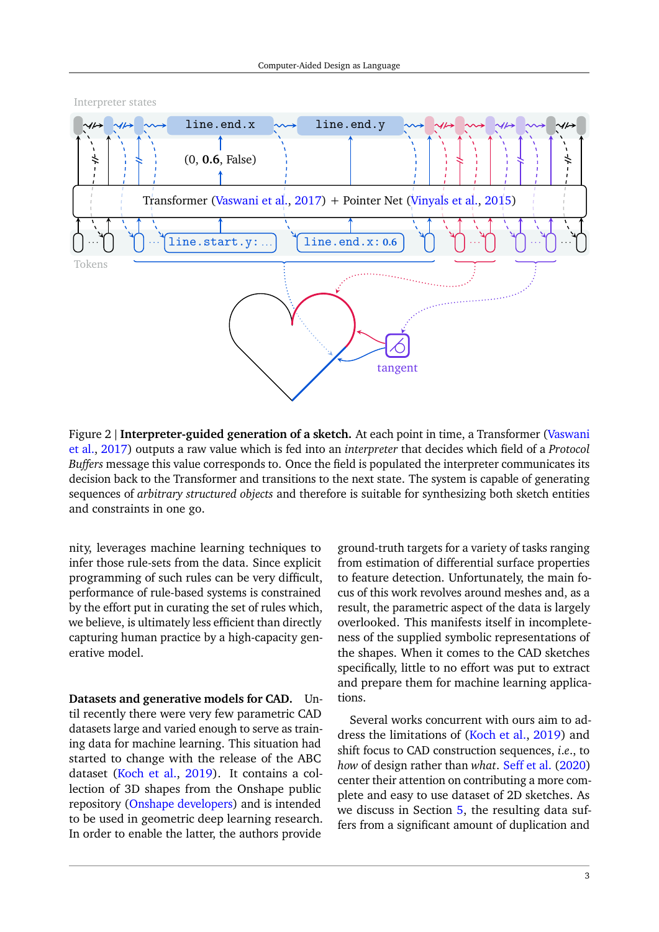

<span id="page-2-0"></span>Interpreter states

Figure 2 | **Interpreter-guided generation of a sketch.** At each point in time, a Transformer [\(Vaswani](#page-19-3) [et al.,](#page-19-3) [2017\)](#page-19-3) outputs a raw value which is fed into an *interpreter* that decides which field of a *Protocol Buffers* message this value corresponds to. Once the field is populated the interpreter communicates its decision back to the Transformer and transitions to the next state. The system is capable of generating sequences of *arbitrary structured objects* and therefore is suitable for synthesizing both sketch entities and constraints in one go.

nity, leverages machine learning techniques to infer those rule-sets from the data. Since explicit programming of such rules can be very difficult, performance of rule-based systems is constrained by the effort put in curating the set of rules which, we believe, is ultimately less efficient than directly capturing human practice by a high-capacity generative model.

**Datasets and generative models for CAD.** Until recently there were very few parametric CAD datasets large and varied enough to serve as training data for machine learning. This situation had started to change with the release of the ABC dataset [\(Koch et al.,](#page-18-3) [2019\)](#page-18-3). It contains a collection of 3D shapes from the Onshape public repository [\(Onshape developers\)](#page-18-4) and is intended to be used in geometric deep learning research. In order to enable the latter, the authors provide

ground-truth targets for a variety of tasks ranging from estimation of differential surface properties to feature detection. Unfortunately, the main focus of this work revolves around meshes and, as a result, the parametric aspect of the data is largely overlooked. This manifests itself in incompleteness of the supplied symbolic representations of the shapes. When it comes to the CAD sketches specifically, little to no effort was put to extract and prepare them for machine learning applications.

Several works concurrent with ours aim to address the limitations of [\(Koch et al.,](#page-18-3) [2019\)](#page-18-3) and shift focus to CAD construction sequences, *i*.*e*., to *how* of design rather than *what*. [Seff et al.](#page-19-7) [\(2020\)](#page-19-7) center their attention on contributing a more complete and easy to use dataset of 2D sketches. As we discuss in Section [5,](#page-11-0) the resulting data suffers from a significant amount of duplication and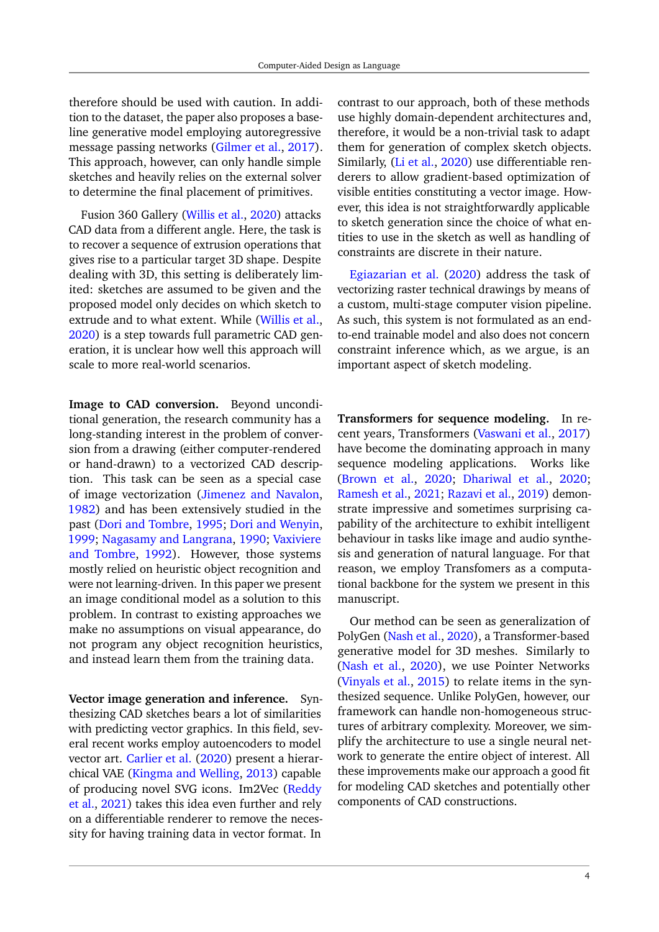therefore should be used with caution. In addition to the dataset, the paper also proposes a baseline generative model employing autoregressive message passing networks [\(Gilmer et al.,](#page-18-5) [2017\)](#page-18-5). This approach, however, can only handle simple sketches and heavily relies on the external solver to determine the final placement of primitives.

Fusion 360 Gallery [\(Willis et al.,](#page-19-8) [2020\)](#page-19-8) attacks CAD data from a different angle. Here, the task is to recover a sequence of extrusion operations that gives rise to a particular target 3D shape. Despite dealing with 3D, this setting is deliberately limited: sketches are assumed to be given and the proposed model only decides on which sketch to extrude and to what extent. While [\(Willis et al.,](#page-19-8) [2020\)](#page-19-8) is a step towards full parametric CAD generation, it is unclear how well this approach will scale to more real-world scenarios.

**Image to CAD conversion.** Beyond unconditional generation, the research community has a long-standing interest in the problem of conversion from a drawing (either computer-rendered or hand-drawn) to a vectorized CAD description. This task can be seen as a special case of image vectorization [\(Jimenez and Navalon,](#page-18-6) [1982\)](#page-18-6) and has been extensively studied in the past [\(Dori and Tombre,](#page-18-7) [1995;](#page-18-7) [Dori and Wenyin,](#page-18-8) [1999;](#page-18-8) [Nagasamy and Langrana,](#page-18-9) [1990;](#page-18-9) [Vaxiviere](#page-19-9) [and Tombre,](#page-19-9) [1992\)](#page-19-9). However, those systems mostly relied on heuristic object recognition and were not learning-driven. In this paper we present an image conditional model as a solution to this problem. In contrast to existing approaches we make no assumptions on visual appearance, do not program any object recognition heuristics, and instead learn them from the training data.

**Vector image generation and inference.** Synthesizing CAD sketches bears a lot of similarities with predicting vector graphics. In this field, several recent works employ autoencoders to model vector art. [Carlier et al.](#page-17-3) [\(2020\)](#page-17-3) present a hierarchical VAE [\(Kingma and Welling,](#page-18-10) [2013\)](#page-18-10) capable of producing novel SVG icons. Im2Vec [\(Reddy](#page-19-10) [et al.,](#page-19-10) [2021\)](#page-19-10) takes this idea even further and rely on a differentiable renderer to remove the necessity for having training data in vector format. In

contrast to our approach, both of these methods use highly domain-dependent architectures and, therefore, it would be a non-trivial task to adapt them for generation of complex sketch objects. Similarly, [\(Li et al.,](#page-18-11) [2020\)](#page-18-11) use differentiable renderers to allow gradient-based optimization of visible entities constituting a vector image. However, this idea is not straightforwardly applicable to sketch generation since the choice of what entities to use in the sketch as well as handling of constraints are discrete in their nature.

[Egiazarian et al.](#page-18-12) [\(2020\)](#page-18-12) address the task of vectorizing raster technical drawings by means of a custom, multi-stage computer vision pipeline. As such, this system is not formulated as an endto-end trainable model and also does not concern constraint inference which, as we argue, is an important aspect of sketch modeling.

**Transformers for sequence modeling.** In recent years, Transformers [\(Vaswani et al.,](#page-19-3) [2017\)](#page-19-3) have become the dominating approach in many sequence modeling applications. Works like [\(Brown et al.,](#page-17-1) [2020;](#page-17-1) [Dhariwal et al.,](#page-18-13) [2020;](#page-18-13) [Ramesh et al.,](#page-19-11) [2021;](#page-19-11) [Razavi et al.,](#page-19-12) [2019\)](#page-19-12) demonstrate impressive and sometimes surprising capability of the architecture to exhibit intelligent behaviour in tasks like image and audio synthesis and generation of natural language. For that reason, we employ Transfomers as a computational backbone for the system we present in this manuscript.

Our method can be seen as generalization of PolyGen [\(Nash et al.,](#page-18-14) [2020\)](#page-18-14), a Transformer-based generative model for 3D meshes. Similarly to [\(Nash et al.,](#page-18-14) [2020\)](#page-18-14), we use Pointer Networks [\(Vinyals et al.,](#page-19-6) [2015\)](#page-19-6) to relate items in the synthesized sequence. Unlike PolyGen, however, our framework can handle non-homogeneous structures of arbitrary complexity. Moreover, we simplify the architecture to use a single neural network to generate the entire object of interest. All these improvements make our approach a good fit for modeling CAD sketches and potentially other components of CAD constructions.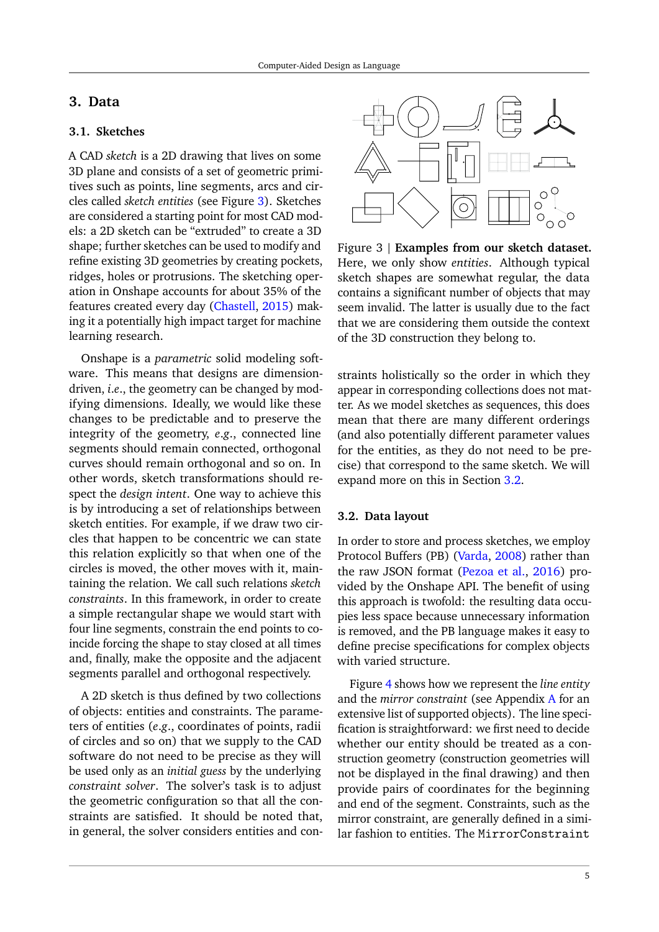# **3. Data**

### **3.1. Sketches**

A CAD *sketch* is a 2D drawing that lives on some 3D plane and consists of a set of geometric primitives such as points, line segments, arcs and circles called *sketch entities* (see Figure [3\)](#page-4-0). Sketches are considered a starting point for most CAD models: a 2D sketch can be "extruded" to create a 3D shape; further sketches can be used to modify and refine existing 3D geometries by creating pockets, ridges, holes or protrusions. The sketching operation in Onshape accounts for about 35% of the features created every day [\(Chastell,](#page-18-15) [2015\)](#page-18-15) making it a potentially high impact target for machine learning research.

Onshape is a *parametric* solid modeling software. This means that designs are dimensiondriven, *i*.*e*., the geometry can be changed by modifying dimensions. Ideally, we would like these changes to be predictable and to preserve the integrity of the geometry, *e*.*g*., connected line segments should remain connected, orthogonal curves should remain orthogonal and so on. In other words, sketch transformations should respect the *design intent*. One way to achieve this is by introducing a set of relationships between sketch entities. For example, if we draw two circles that happen to be concentric we can state this relation explicitly so that when one of the circles is moved, the other moves with it, maintaining the relation. We call such relations *sketch constraints*. In this framework, in order to create a simple rectangular shape we would start with four line segments, constrain the end points to coincide forcing the shape to stay closed at all times and, finally, make the opposite and the adjacent segments parallel and orthogonal respectively.

A 2D sketch is thus defined by two collections of objects: entities and constraints. The parameters of entities (*e*.*g*., coordinates of points, radii of circles and so on) that we supply to the CAD software do not need to be precise as they will be used only as an *initial guess* by the underlying *constraint solver*. The solver's task is to adjust the geometric configuration so that all the constraints are satisfied. It should be noted that, in general, the solver considers entities and con-

<span id="page-4-0"></span>

Figure 3 | **Examples from our sketch dataset.** Here, we only show *entities*. Although typical sketch shapes are somewhat regular, the data contains a significant number of objects that may seem invalid. The latter is usually due to the fact that we are considering them outside the context of the 3D construction they belong to.

straints holistically so the order in which they appear in corresponding collections does not matter. As we model sketches as sequences, this does mean that there are many different orderings (and also potentially different parameter values for the entities, as they do not need to be precise) that correspond to the same sketch. We will expand more on this in Section [3.2.](#page-4-1)

#### <span id="page-4-1"></span>**3.2. Data layout**

In order to store and process sketches, we employ Protocol Buffers (PB) [\(Varda,](#page-19-4) [2008\)](#page-19-4) rather than the raw JSON format [\(Pezoa et al.,](#page-19-13) [2016\)](#page-19-13) provided by the Onshape API. The benefit of using this approach is twofold: the resulting data occupies less space because unnecessary information is removed, and the PB language makes it easy to define precise specifications for complex objects with varied structure.

Figure [4](#page-5-0) shows how we represent the *line entity* and the *mirror constraint* (see Appendix [A](#page-20-0) for an extensive list of supported objects). The line specification is straightforward: we first need to decide whether our entity should be treated as a construction geometry (construction geometries will not be displayed in the final drawing) and then provide pairs of coordinates for the beginning and end of the segment. Constraints, such as the mirror constraint, are generally defined in a similar fashion to entities. The MirrorConstraint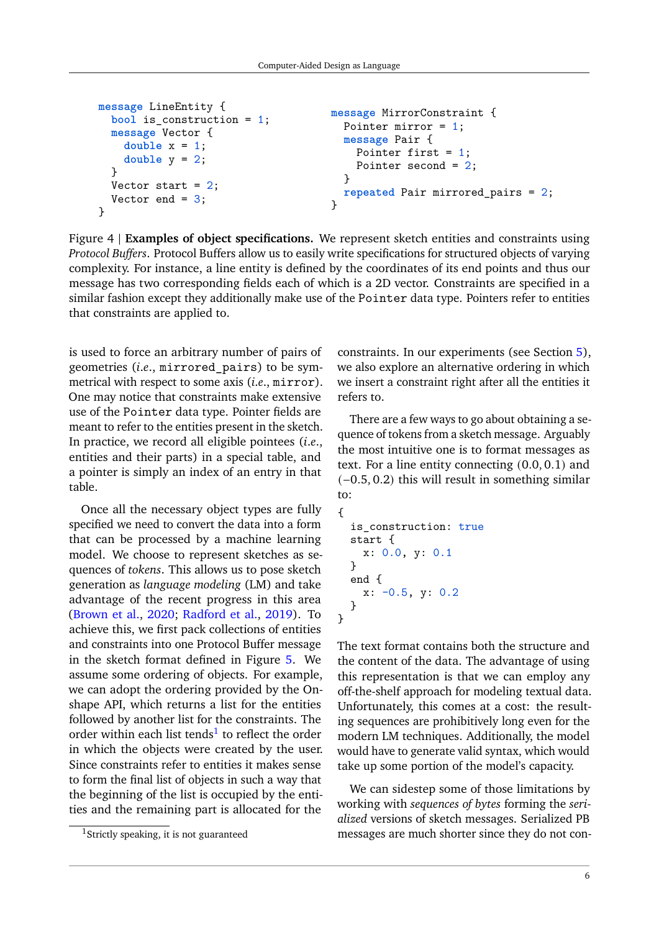```
message LineEntity {
  bool is_construction = 1;
  message Vector {
    double x = 1;
    double y = 2;
  }
  Vector start = 2;
  Vector end = 3;
}
                                      message MirrorConstraint {
                                        Pointer mirror = 1;
                                        message Pair {
                                          Pointer first = 1;
                                          Pointer second = 2;
                                        }
                                        repeated Pair mirrored_pairs = 2;
                                      }
```
Figure 4 | **Examples of object specifications.** We represent sketch entities and constraints using *Protocol Buffers*. Protocol Buffers allow us to easily write specifications for structured objects of varying complexity. For instance, a line entity is defined by the coordinates of its end points and thus our message has two corresponding fields each of which is a 2D vector. Constraints are specified in a similar fashion except they additionally make use of the Pointer data type. Pointers refer to entities that constraints are applied to.

is used to force an arbitrary number of pairs of geometries (*i*.*e*., mirrored\_pairs) to be symmetrical with respect to some axis (*i*.*e*., mirror). One may notice that constraints make extensive use of the Pointer data type. Pointer fields are meant to refer to the entities present in the sketch. In practice, we record all eligible pointees (*i*.*e*., entities and their parts) in a special table, and a pointer is simply an index of an entry in that table.

Once all the necessary object types are fully specified we need to convert the data into a form that can be processed by a machine learning model. We choose to represent sketches as sequences of *tokens*. This allows us to pose sketch generation as *language modeling* (LM) and take advantage of the recent progress in this area [\(Brown et al.,](#page-17-1) [2020;](#page-17-1) [Radford et al.,](#page-19-2) [2019\)](#page-19-2). To achieve this, we first pack collections of entities and constraints into one Protocol Buffer message in the sketch format defined in Figure [5.](#page-6-0) We assume some ordering of objects. For example, we can adopt the ordering provided by the Onshape API, which returns a list for the entities followed by another list for the constraints. The order within each list tends<sup>[1](#page-5-1)</sup> to reflect the order in which the objects were created by the user. Since constraints refer to entities it makes sense to form the final list of objects in such a way that the beginning of the list is occupied by the entities and the remaining part is allocated for the

constraints. In our experiments (see Section [5\)](#page-11-0), we also explore an alternative ordering in which we insert a constraint right after all the entities it refers to.

There are a few ways to go about obtaining a sequence of tokens from a sketch message. Arguably the most intuitive one is to format messages as text. For a line entity connecting (0.0, 0.1) and (−0.5, 0.2) this will result in something similar to:

```
{
  is_construction: true
  start {
    x: 0.0, y: 0.1
  }
  end {
    x: -0.5, y: 0.2}
}
```
The text format contains both the structure and the content of the data. The advantage of using this representation is that we can employ any off-the-shelf approach for modeling textual data. Unfortunately, this comes at a cost: the resulting sequences are prohibitively long even for the modern LM techniques. Additionally, the model would have to generate valid syntax, which would take up some portion of the model's capacity.

We can sidestep some of those limitations by working with *sequences of bytes* forming the *serialized* versions of sketch messages. Serialized PB messages are much shorter since they do not con-

<span id="page-5-1"></span><sup>&</sup>lt;sup>1</sup> Strictly speaking, it is not guaranteed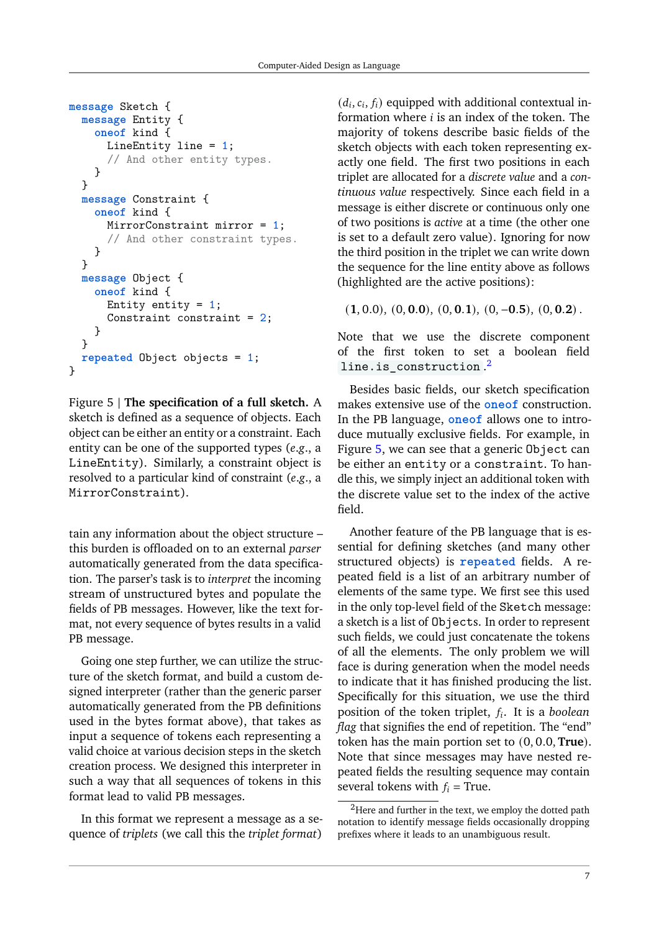```
message Sketch {
  message Entity {
    oneof kind {
      LineEntity line = 1;
      // And other entity types.
    }
  }
  message Constraint {
    oneof kind {
      MirrorConstraint mirror = 1;
      // And other constraint types.
    }
  }
  message Object {
    oneof kind {
      Entity entity = 1;
      Constraint constraint = 2;
    }
  }
  repeated Object objects = 1;
}
```
Figure 5 | **The specification of a full sketch.** A sketch is defined as a sequence of objects. Each object can be either an entity or a constraint. Each entity can be one of the supported types (*e*.*g*., a LineEntity). Similarly, a constraint object is resolved to a particular kind of constraint (*e*.*g*., a MirrorConstraint).

tain any information about the object structure – this burden is offloaded on to an external *parser* automatically generated from the data specification. The parser's task is to *interpret* the incoming stream of unstructured bytes and populate the fields of PB messages. However, like the text format, not every sequence of bytes results in a valid PB message.

Going one step further, we can utilize the structure of the sketch format, and build a custom designed interpreter (rather than the generic parser automatically generated from the PB definitions used in the bytes format above), that takes as input a sequence of tokens each representing a valid choice at various decision steps in the sketch creation process. We designed this interpreter in such a way that all sequences of tokens in this format lead to valid PB messages.

In this format we represent a message as a sequence of *triplets* (we call this the *triplet format*)

 $(d_i, c_i, f_i)$  equipped with additional contextual information where  $i$  is an index of the token. The majority of tokens describe basic fields of the sketch objects with each token representing exactly one field. The first two positions in each triplet are allocated for a *discrete value* and a *continuous value* respectively. Since each field in a message is either discrete or continuous only one of two positions is *active* at a time (the other one is set to a default zero value). Ignoring for now the third position in the triplet we can write down the sequence for the line entity above as follows (highlighted are the active positions):

 $(1, 0.0), (0, 0.0), (0, 0.1), (0, -0.5), (0, 0.2)$ .

Note that we use the discrete component of the first token to set a boolean field line.is\_construction.<sup>[2](#page-6-1)</sup>

Besides basic fields, our sketch specification makes extensive use of the **oneof** construction. In the PB language, **oneof** allows one to introduce mutually exclusive fields. For example, in Figure [5,](#page-6-0) we can see that a generic Object can be either an entity or a constraint. To handle this, we simply inject an additional token with the discrete value set to the index of the active field.

Another feature of the PB language that is essential for defining sketches (and many other structured objects) is **repeated** fields. A repeated field is a list of an arbitrary number of elements of the same type. We first see this used in the only top-level field of the Sketch message: a sketch is a list of Objects. In order to represent such fields, we could just concatenate the tokens of all the elements. The only problem we will face is during generation when the model needs to indicate that it has finished producing the list. Specifically for this situation, we use the third position of the token triplet,  $f_i$ . It is a *boolean flag* that signifies the end of repetition. The "end" token has the main portion set to (0, 0.0, **True**). Note that since messages may have nested repeated fields the resulting sequence may contain several tokens with  $f_i$  = True.

<span id="page-6-1"></span><sup>&</sup>lt;sup>2</sup>Here and further in the text, we employ the dotted path notation to identify message fields occasionally dropping prefixes where it leads to an unambiguous result.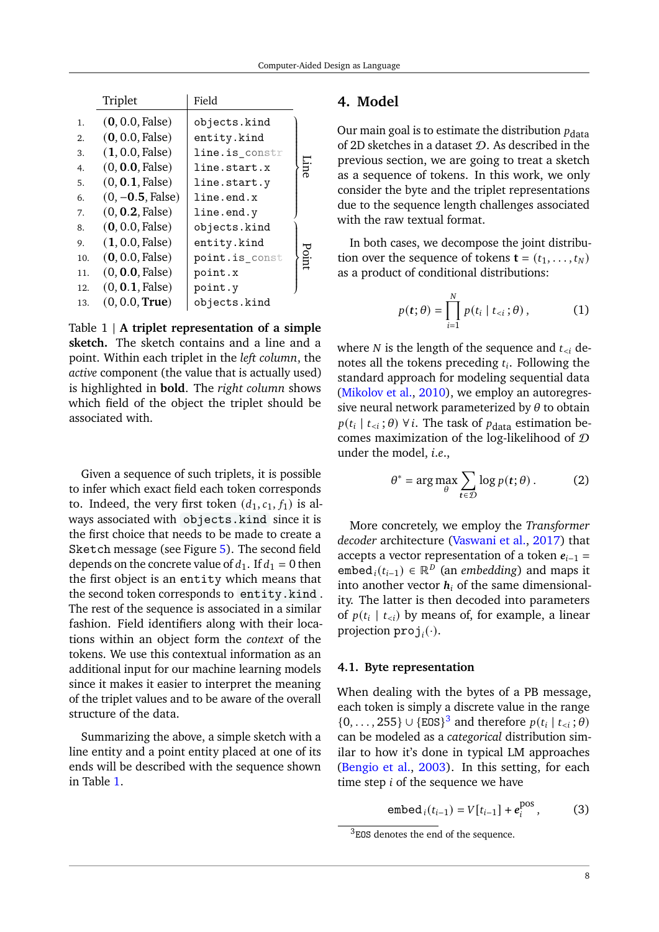<span id="page-7-0"></span>

| Triplet            | Field          |       |
|--------------------|----------------|-------|
| (0, 0.0, False)    | objects.kind   |       |
| (0, 0.0, False)    | entity.kind    |       |
| (1, 0.0, False)    | line.is_constr |       |
| (0, 0.0, False)    | line.start.x   | Line  |
| (0, 0.1, False)    | line.start.y   |       |
| $(0, -0.5, False)$ | line.end.x     |       |
| (0, 0.2, False)    | line.end.y     |       |
| (0, 0.0, False)    | objects.kind   |       |
| (1, 0.0, False)    | entity.kind    |       |
| (0, 0.0, False)    | point.is_const | Point |
| (0, 0.0, False)    | point.x        |       |
| (0, 0.1, False)    | point.y        |       |
| (0, 0.0, True)     | objects.kind   |       |
|                    |                |       |

Table 1 | **A triplet representation of a simple sketch.** The sketch contains and a line and a point. Within each triplet in the *left column*, the *active* component (the value that is actually used) is highlighted in **bold**. The *right column* shows which field of the object the triplet should be associated with.

Given a sequence of such triplets, it is possible to infer which exact field each token corresponds to. Indeed, the very first token  $(d_1, c_1, f_1)$  is always associated with objects.kind since it is the first choice that needs to be made to create a Sketch message (see Figure [5\)](#page-6-0). The second field depends on the concrete value of  $d_1$ . If  $d_1 = 0$  then the first object is an entity which means that the second token corresponds to entity.kind . The rest of the sequence is associated in a similar fashion. Field identifiers along with their locations within an object form the *context* of the tokens. We use this contextual information as an additional input for our machine learning models since it makes it easier to interpret the meaning of the triplet values and to be aware of the overall structure of the data.

Summarizing the above, a simple sketch with a line entity and a point entity placed at one of its ends will be described with the sequence shown in Table [1.](#page-7-0)

### **4. Model**

Our main goal is to estimate the distribution  $p_{data}$ of 2D sketches in a dataset  $D$ . As described in the previous section, we are going to treat a sketch as a sequence of tokens. In this work, we only consider the byte and the triplet representations due to the sequence length challenges associated with the raw textual format.

In both cases, we decompose the joint distribution over the sequence of tokens **t** =  $(t_1, \ldots, t_N)$ as a product of conditional distributions:

<span id="page-7-2"></span>
$$
p(t; \theta) = \prod_{i=1}^{N} p(t_i \mid t_{
$$

where N is the length of the sequence and  $t_{\leq i}$  denotes all the tokens preceding  $t_i$ . Following the standard approach for modeling sequential data [\(Mikolov et al.,](#page-18-16) [2010\)](#page-18-16), we employ an autoregressive neural network parameterized by  $\theta$  to obtain  $p(t_i | t_{\textit{*i*}}; \theta) \ \forall \ i$ . The task of  $p_{\text{data}}$  estimation becomes maximization of the log-likelihood of D under the model, *i*.*e*.,

<span id="page-7-5"></span>
$$
\theta^* = \arg \max_{\theta} \sum_{t \in \mathcal{D}} \log p(t; \theta).
$$
 (2)

More concretely, we employ the *Transformer decoder* architecture [\(Vaswani et al.,](#page-19-3) [2017\)](#page-19-3) that accepts a vector representation of a token  $e_{i-1}$  = embed<sub>*i*</sub>( $t_{i-1}$ )  $\in \mathbb{R}^{\overline{D}}$  (an *embedding*) and maps it into another vector  $h_i$  of the same dimensionality. The latter is then decoded into parameters of  $p(t_i | t_{\le i})$  by means of, for example, a linear projection  $proj_i(\cdot)$ .

#### <span id="page-7-4"></span>**4.1. Byte representation**

When dealing with the bytes of a PB message, each token is simply a discrete value in the range  $\{0, \ldots, 255\} \cup \{\text{EOS}\}^3$  $\{0, \ldots, 255\} \cup \{\text{EOS}\}^3$  and therefore  $p(t_i \mid t_{\leq i}; \theta)$ can be modeled as a *categorical* distribution similar to how it's done in typical LM approaches [\(Bengio et al.,](#page-17-4) [2003\)](#page-17-4). In this setting, for each time step  $i$  of the sequence we have

<span id="page-7-3"></span>
$$
embedi(ti-1) = V[ti-1] + eipos, \t(3)
$$

<span id="page-7-1"></span><sup>3</sup>EOS denotes the end of the sequence.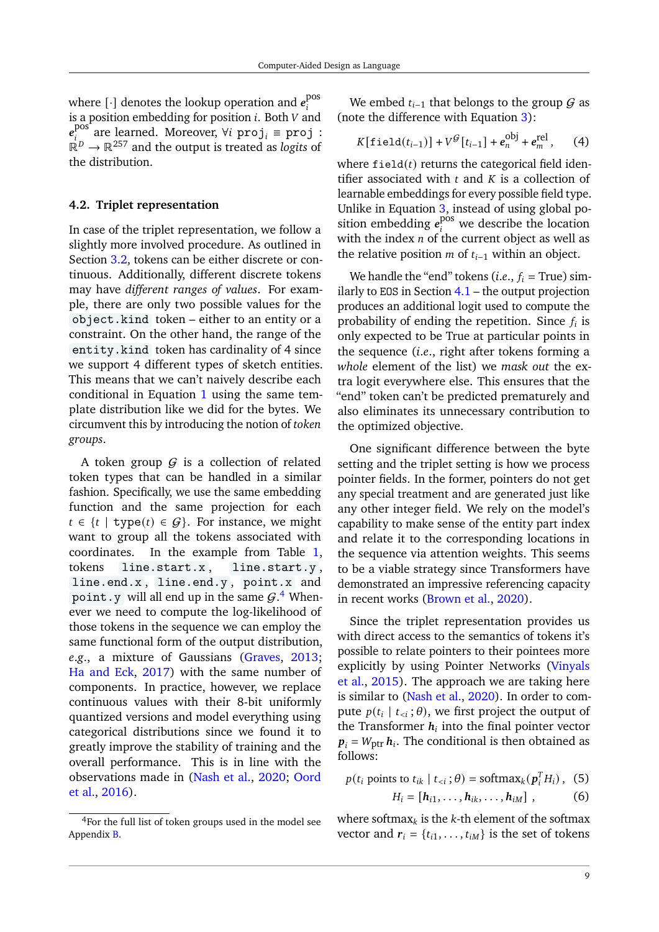where  $[\cdot]$  denotes the lookup operation and  $e^{\rm pos}_i$ is a position embedding for position  $i$ . Both  $V$  and  $e_i^{\text{pos}^\star}$ are learned. Moreover,  $\forall i \text{ proj}_i \equiv \text{proj}$ :  $\mathbb{R}^D \to \mathbb{R}^{257}$  and the output is treated as *logits* of the distribution.

#### **4.2. Triplet representation**

In case of the triplet representation, we follow a slightly more involved procedure. As outlined in Section [3.2,](#page-4-1) tokens can be either discrete or continuous. Additionally, different discrete tokens may have *different ranges of values*. For example, there are only two possible values for the object.kind token – either to an entity or a constraint. On the other hand, the range of the entity.kind token has cardinality of 4 since we support 4 different types of sketch entities. This means that we can't naively describe each conditional in Equation [1](#page-7-2) using the same template distribution like we did for the bytes. We circumvent this by introducing the notion of *token groups*.

A token group  $G$  is a collection of related token types that can be handled in a similar fashion. Specifically, we use the same embedding function and the same projection for each  $t \in \{t \mid type(t) \in \mathcal{G}\}\$ . For instance, we might want to group all the tokens associated with coordinates. In the example from Table [1,](#page-7-0) tokens line.start.x, line.start.y, line.end.x, line.end.y, point.x and point.y will all end up in the same  $\mathcal{G}.^4$  $\mathcal{G}.^4$  Whenever we need to compute the log-likelihood of those tokens in the sequence we can employ the same functional form of the output distribution, *e*.*g*., a mixture of Gaussians [\(Graves,](#page-18-17) [2013;](#page-18-17) [Ha and Eck,](#page-18-18) [2017\)](#page-18-18) with the same number of components. In practice, however, we replace continuous values with their 8-bit uniformly quantized versions and model everything using categorical distributions since we found it to greatly improve the stability of training and the overall performance. This is in line with the observations made in [\(Nash et al.,](#page-18-14) [2020;](#page-18-14) [Oord](#page-19-14) [et al.,](#page-19-14) [2016\)](#page-19-14).

We embed  $t_{i-1}$  that belongs to the group  $G$  as (note the difference with Equation [3\)](#page-7-3):

<span id="page-8-2"></span>
$$
K[\text{field}(t_{i-1})] + V^{\mathcal{G}}[t_{i-1}] + e_n^{\text{obj}} + e_m^{\text{rel}},
$$
 (4)

where  $field(t)$  returns the categorical field identifier associated with  $t$  and  $K$  is a collection of learnable embeddings for every possible field type. Unlike in Equation [3,](#page-7-3) instead of using global position embedding  $e_i^{\text{pos}}$  we describe the location with the index  $n$  of the current object as well as the relative position  $m$  of  $t_{i-1}$  within an object.

We handle the "end" tokens (*i.e.*,  $f_i$  = True) similarly to EOS in Section  $4.1$  – the output projection produces an additional logit used to compute the probability of ending the repetition. Since  $f_i$  is only expected to be True at particular points in the sequence (*i*.*e*., right after tokens forming a *whole* element of the list) we *mask out* the extra logit everywhere else. This ensures that the "end" token can't be predicted prematurely and also eliminates its unnecessary contribution to the optimized objective.

One significant difference between the byte setting and the triplet setting is how we process pointer fields. In the former, pointers do not get any special treatment and are generated just like any other integer field. We rely on the model's capability to make sense of the entity part index and relate it to the corresponding locations in the sequence via attention weights. This seems to be a viable strategy since Transformers have demonstrated an impressive referencing capacity in recent works [\(Brown et al.,](#page-17-1) [2020\)](#page-17-1).

Since the triplet representation provides us with direct access to the semantics of tokens it's possible to relate pointers to their pointees more explicitly by using Pointer Networks [\(Vinyals](#page-19-6) [et al.,](#page-19-6) [2015\)](#page-19-6). The approach we are taking here is similar to [\(Nash et al.,](#page-18-14) [2020\)](#page-18-14). In order to compute  $p(t_i | t_{\leq i}; \theta)$ , we first project the output of the Transformer  $h_i$  into the final pointer vector  $\boldsymbol{p}_i = W_{\text{ptr}} \, \boldsymbol{h}_i$ . The conditional is then obtained as follows:

<span id="page-8-1"></span>
$$
p(t_i \text{ points to } t_{ik} \mid t_{
$$
H_i = [\mathbf{h}_{i1}, \dots, \mathbf{h}_{ik}, \dots, \mathbf{h}_{iM}], \quad (6)
$$
$$

where softmax<sub>k</sub> is the  $k$ -th element of the softmax vector and  $r_i = \{t_{i1}, \ldots, t_{iM}\}\)$  is the set of tokens

<span id="page-8-0"></span><sup>4</sup>For the full list of token groups used in the model see Appendix [B.](#page-22-0)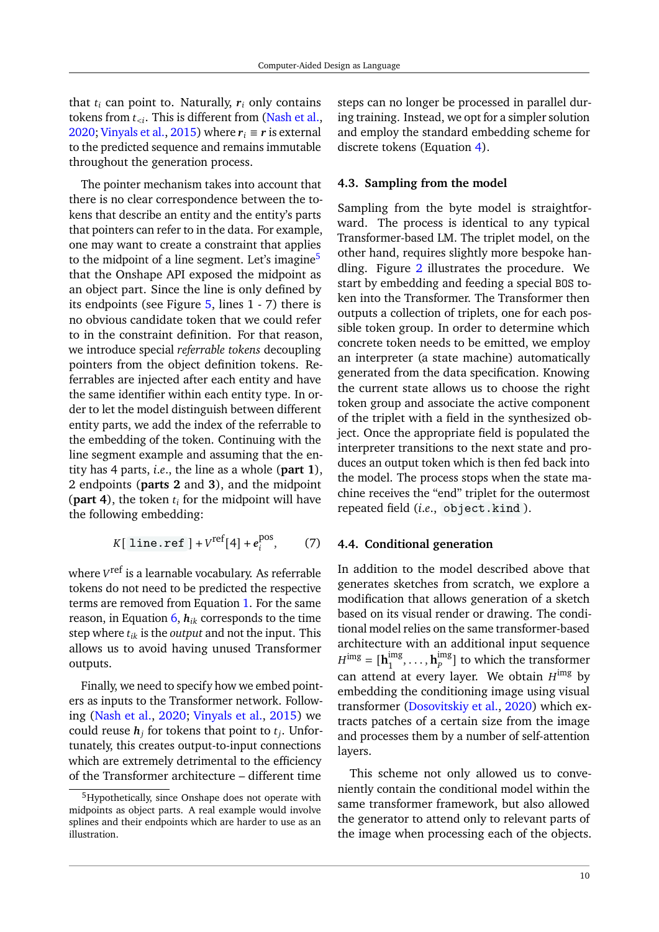that  $t_i$  can point to. Naturally,  $r_i$  only contains tokens from  $t_{< i}$ . This is different from [\(Nash et al.,](#page-18-14) [2020;](#page-18-14) [Vinyals et al.,](#page-19-6) [2015\)](#page-19-6) where  $r_i \equiv r$  is external to the predicted sequence and remains immutable throughout the generation process.

The pointer mechanism takes into account that there is no clear correspondence between the tokens that describe an entity and the entity's parts that pointers can refer to in the data. For example, one may want to create a constraint that applies to the midpoint of a line segment. Let's imagine<sup>[5](#page-9-0)</sup> that the Onshape API exposed the midpoint as an object part. Since the line is only defined by its endpoints (see Figure [5,](#page-6-0) lines 1 - 7) there is no obvious candidate token that we could refer to in the constraint definition. For that reason, we introduce special *referrable tokens* decoupling pointers from the object definition tokens. Referrables are injected after each entity and have the same identifier within each entity type. In order to let the model distinguish between different entity parts, we add the index of the referrable to the embedding of the token. Continuing with the line segment example and assuming that the entity has 4 parts, *i*.*e*., the line as a whole (**part 1**), 2 endpoints (**parts 2** and **3**), and the midpoint (**part 4**), the token  $t_i$  for the midpoint will have the following embedding:

$$
K[\text{line.ref}] + V^{\text{ref}}[4] + e_i^{\text{pos}}, \qquad (7)
$$

where  $V^{\mathrm{ref}}$  is a learnable vocabulary. As referrable tokens do not need to be predicted the respective terms are removed from Equation [1.](#page-7-2) For the same reason, in Equation [6,](#page-8-1)  $h_{ik}$  corresponds to the time step where  $t_{ik}$  is the *output* and not the input. This allows us to avoid having unused Transformer outputs.

Finally, we need to specify how we embed pointers as inputs to the Transformer network. Following [\(Nash et al.,](#page-18-14) [2020;](#page-18-14) [Vinyals et al.,](#page-19-6) [2015\)](#page-19-6) we could reuse  $h_j$  for tokens that point to  $t_j$ . Unfortunately, this creates output-to-input connections which are extremely detrimental to the efficiency of the Transformer architecture – different time

steps can no longer be processed in parallel during training. Instead, we opt for a simpler solution and employ the standard embedding scheme for discrete tokens (Equation [4\)](#page-8-2).

#### **4.3. Sampling from the model**

Sampling from the byte model is straightforward. The process is identical to any typical Transformer-based LM. The triplet model, on the other hand, requires slightly more bespoke handling. Figure [2](#page-2-0) illustrates the procedure. We start by embedding and feeding a special BOS token into the Transformer. The Transformer then outputs a collection of triplets, one for each possible token group. In order to determine which concrete token needs to be emitted, we employ an interpreter (a state machine) automatically generated from the data specification. Knowing the current state allows us to choose the right token group and associate the active component of the triplet with a field in the synthesized object. Once the appropriate field is populated the interpreter transitions to the next state and produces an output token which is then fed back into the model. The process stops when the state machine receives the "end" triplet for the outermost repeated field (*i*.*e*., object.kind ).

#### <span id="page-9-1"></span>**4.4. Conditional generation**

In addition to the model described above that generates sketches from scratch, we explore a modification that allows generation of a sketch based on its visual render or drawing. The conditional model relies on the same transformer-based architecture with an additional input sequence  $H^{\text{img}} = [\mathbf{h}^{\text{img}}_1$  $\mathbf{h}^\text{img}_1, \ldots, \mathbf{h}^\text{img}_P]$  to which the transformer can attend at every layer. We obtain  $H^{img}$  by embedding the conditioning image using visual transformer [\(Dosovitskiy et al.,](#page-18-19) [2020\)](#page-18-19) which extracts patches of a certain size from the image and processes them by a number of self-attention layers.

This scheme not only allowed us to conveniently contain the conditional model within the same transformer framework, but also allowed the generator to attend only to relevant parts of the image when processing each of the objects.

<span id="page-9-0"></span><sup>5</sup>Hypothetically, since Onshape does not operate with midpoints as object parts. A real example would involve splines and their endpoints which are harder to use as an illustration.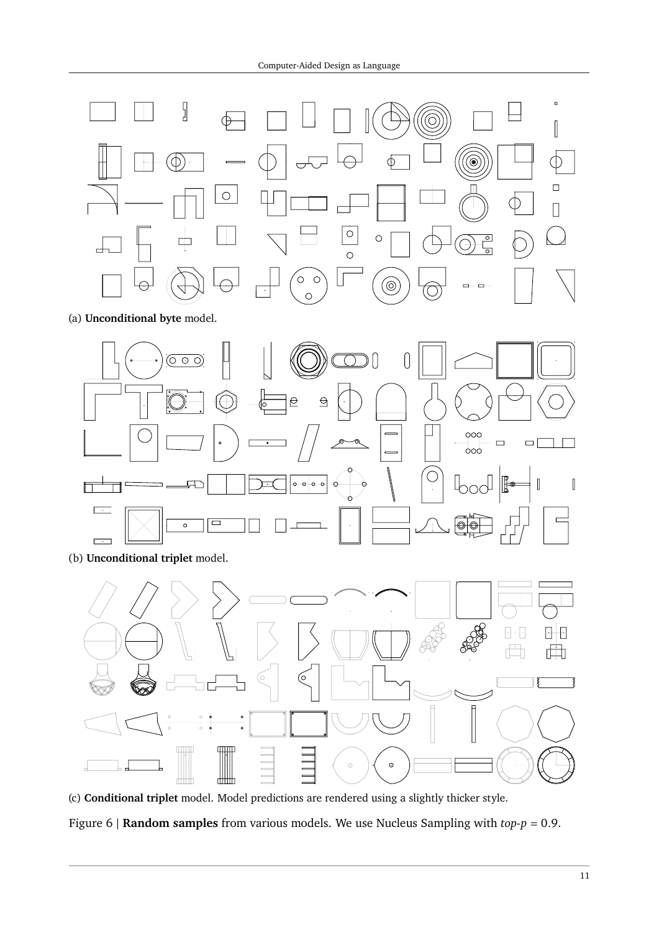<span id="page-10-0"></span>



(b) **Unconditional triplet** model.



(c) **Conditional triplet** model. Model predictions are rendered using a slightly thicker style.

Figure 6 | **Random samples** from various models. We use Nucleus Sampling with *top-p* = 0.9.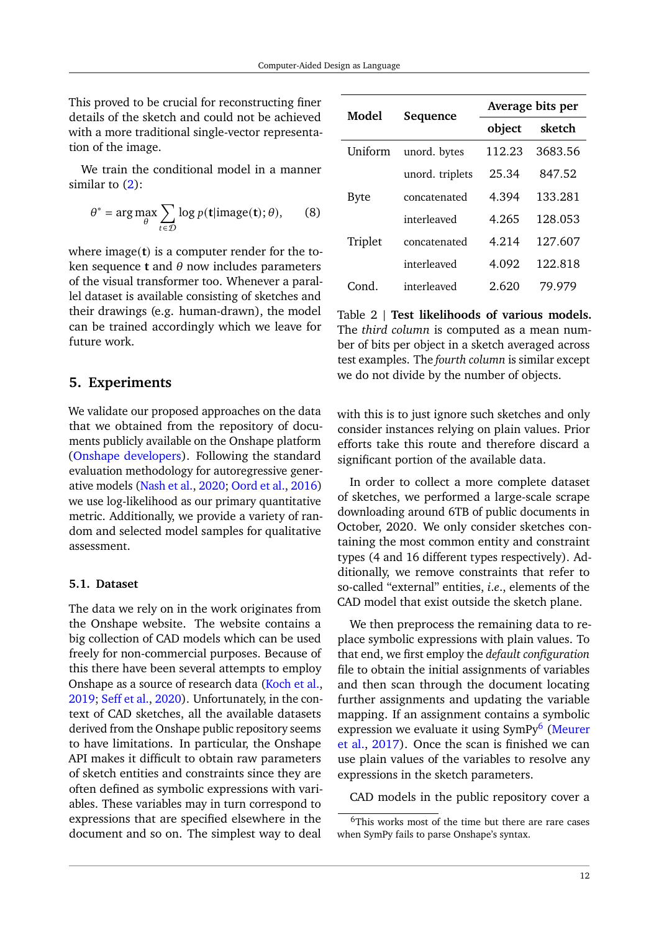This proved to be crucial for reconstructing finer details of the sketch and could not be achieved with a more traditional single-vector representation of the image.

We train the conditional model in a manner similar to  $(2)$ :

$$
\theta^* = \arg \max_{\theta} \sum_{t \in \mathcal{D}} \log p(\mathbf{t} | \text{image}(\mathbf{t}); \theta), \quad (8)
$$

where image(**t**) is a computer render for the token sequence **t** and  $\theta$  now includes parameters of the visual transformer too. Whenever a parallel dataset is available consisting of sketches and their drawings (e.g. human-drawn), the model can be trained accordingly which we leave for future work.

### <span id="page-11-0"></span>**5. Experiments**

We validate our proposed approaches on the data that we obtained from the repository of documents publicly available on the Onshape platform [\(Onshape developers\)](#page-18-4). Following the standard evaluation methodology for autoregressive generative models [\(Nash et al.,](#page-18-14) [2020;](#page-18-14) [Oord et al.,](#page-19-14) [2016\)](#page-19-14) we use log-likelihood as our primary quantitative metric. Additionally, we provide a variety of random and selected model samples for qualitative assessment.

#### **5.1. Dataset**

The data we rely on in the work originates from the Onshape website. The website contains a big collection of CAD models which can be used freely for non-commercial purposes. Because of this there have been several attempts to employ Onshape as a source of research data [\(Koch et al.,](#page-18-3) [2019;](#page-18-3) [Seff et al.,](#page-19-7) [2020\)](#page-19-7). Unfortunately, in the context of CAD sketches, all the available datasets derived from the Onshape public repository seems to have limitations. In particular, the Onshape API makes it difficult to obtain raw parameters of sketch entities and constraints since they are often defined as symbolic expressions with variables. These variables may in turn correspond to expressions that are specified elsewhere in the document and so on. The simplest way to deal

<span id="page-11-2"></span>

| Model          | Sequence        | Average bits per |         |  |
|----------------|-----------------|------------------|---------|--|
|                |                 | object           | sketch  |  |
| Uniform        | unord. bytes    | 112.23           | 3683.56 |  |
|                | unord. triplets | 25.34            | 847.52  |  |
| Byte           | concatenated    | 4.394            | 133.281 |  |
|                | interleaved     | 4.265            | 128.053 |  |
| <b>Triplet</b> | concatenated    | 4.214            | 127.607 |  |
|                | interleaved     | 4.092            | 122.818 |  |
| Cond           | interleaved     | 2.620            | 79.979  |  |

Table 2 | **Test likelihoods of various models.** The *third column* is computed as a mean number of bits per object in a sketch averaged across test examples. The *fourth column* is similar except we do not divide by the number of objects.

with this is to just ignore such sketches and only consider instances relying on plain values. Prior efforts take this route and therefore discard a significant portion of the available data.

In order to collect a more complete dataset of sketches, we performed a large-scale scrape downloading around 6TB of public documents in October, 2020. We only consider sketches containing the most common entity and constraint types (4 and 16 different types respectively). Additionally, we remove constraints that refer to so-called "external" entities, *i*.*e*., elements of the CAD model that exist outside the sketch plane.

We then preprocess the remaining data to replace symbolic expressions with plain values. To that end, we first employ the *default configuration* file to obtain the initial assignments of variables and then scan through the document locating further assignments and updating the variable mapping. If an assignment contains a symbolic expression we evaluate it using SymPy<sup>[6](#page-11-1)</sup> [\(Meurer](#page-18-20) [et al.,](#page-18-20) [2017\)](#page-18-20). Once the scan is finished we can use plain values of the variables to resolve any expressions in the sketch parameters.

CAD models in the public repository cover a

<span id="page-11-1"></span> $6$ This works most of the time but there are rare cases when SymPy fails to parse Onshape's syntax.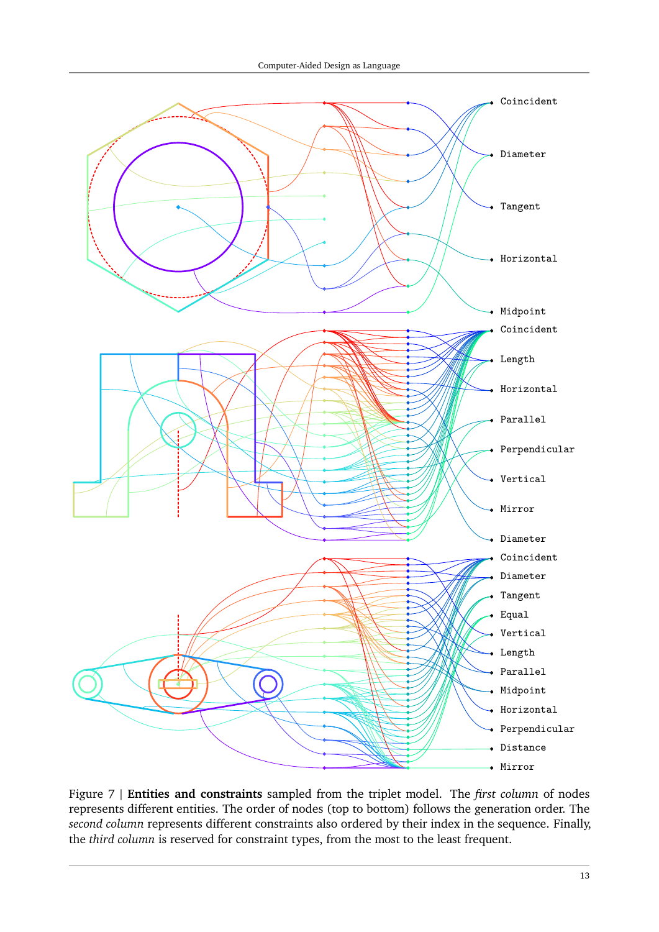<span id="page-12-0"></span>

Figure 7 | **Entities and constraints** sampled from the triplet model. The *first column* of nodes represents different entities. The order of nodes (top to bottom) follows the generation order. The *second column* represents different constraints also ordered by their index in the sequence. Finally, the *third column* is reserved for constraint types, from the most to the least frequent.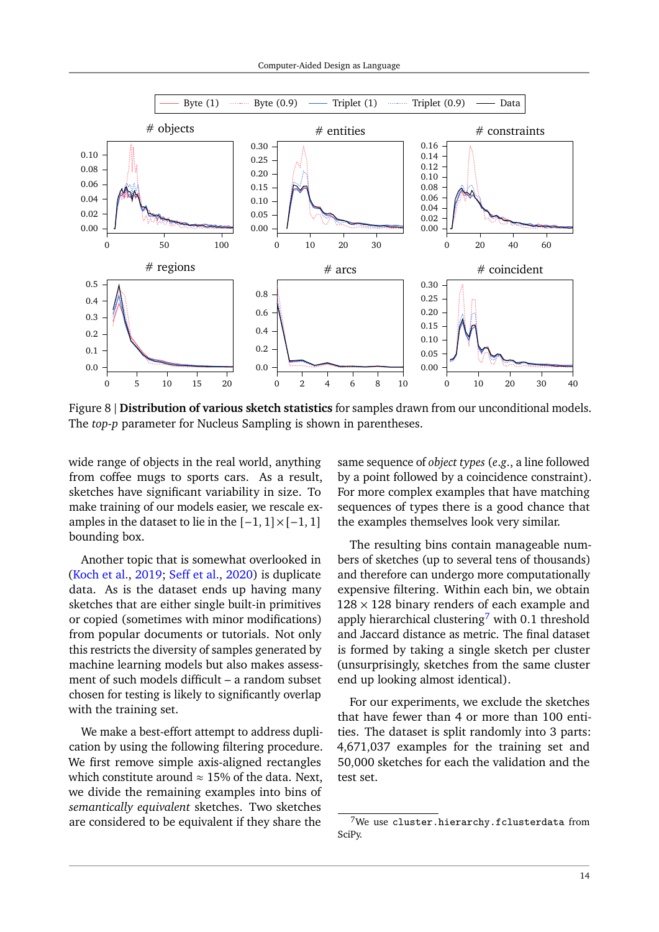<span id="page-13-1"></span>

Figure 8 | **Distribution of various sketch statistics** for samples drawn from our unconditional models. The *top-p* parameter for Nucleus Sampling is shown in parentheses.

wide range of objects in the real world, anything from coffee mugs to sports cars. As a result, sketches have significant variability in size. To make training of our models easier, we rescale examples in the dataset to lie in the  $[-1, 1] \times [-1, 1]$ bounding box.

Another topic that is somewhat overlooked in [\(Koch et al.,](#page-18-3) [2019;](#page-18-3) [Seff et al.,](#page-19-7) [2020\)](#page-19-7) is duplicate data. As is the dataset ends up having many sketches that are either single built-in primitives or copied (sometimes with minor modifications) from popular documents or tutorials. Not only this restricts the diversity of samples generated by machine learning models but also makes assessment of such models difficult – a random subset chosen for testing is likely to significantly overlap with the training set.

We make a best-effort attempt to address duplication by using the following filtering procedure. We first remove simple axis-aligned rectangles which constitute around  $\approx 15\%$  of the data. Next, we divide the remaining examples into bins of *semantically equivalent* sketches. Two sketches are considered to be equivalent if they share the same sequence of *object types* (*e*.*g*., a line followed by a point followed by a coincidence constraint). For more complex examples that have matching sequences of types there is a good chance that the examples themselves look very similar.

The resulting bins contain manageable numbers of sketches (up to several tens of thousands) and therefore can undergo more computationally expensive filtering. Within each bin, we obtain  $128 \times 128$  binary renders of each example and apply hierarchical clustering<sup>[7](#page-13-0)</sup> with 0.1 threshold and Jaccard distance as metric. The final dataset is formed by taking a single sketch per cluster (unsurprisingly, sketches from the same cluster end up looking almost identical).

For our experiments, we exclude the sketches that have fewer than 4 or more than 100 entities. The dataset is split randomly into 3 parts: 4,671,037 examples for the training set and 50,000 sketches for each the validation and the test set.

<span id="page-13-0"></span> $7$ We use cluster.hierarchy.fclusterdata from SciPy.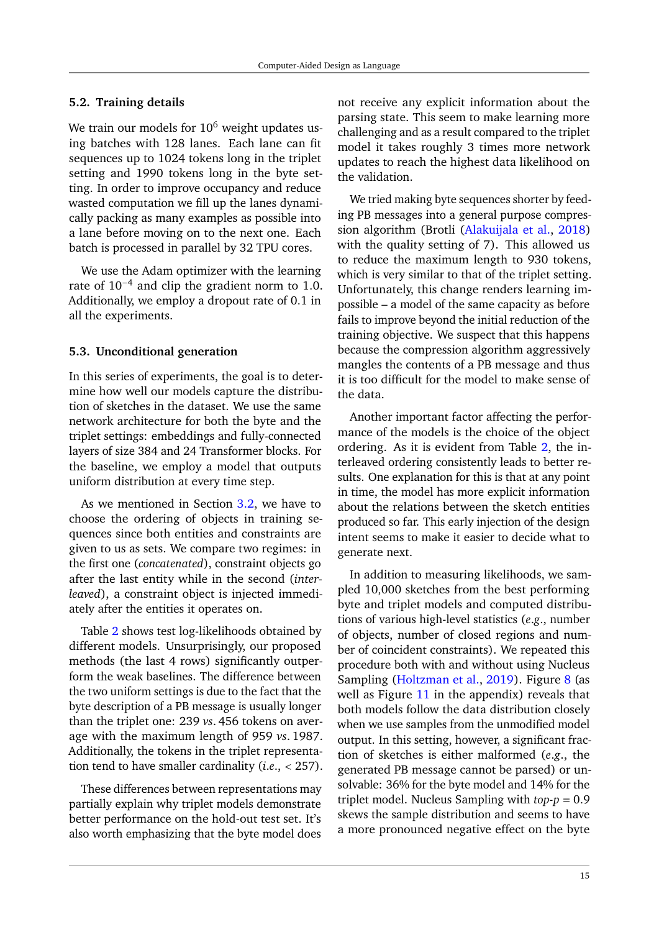### **5.2. Training details**

We train our models for  $10^6$  weight updates using batches with 128 lanes. Each lane can fit sequences up to 1024 tokens long in the triplet setting and 1990 tokens long in the byte setting. In order to improve occupancy and reduce wasted computation we fill up the lanes dynamically packing as many examples as possible into a lane before moving on to the next one. Each batch is processed in parallel by 32 TPU cores.

We use the Adam optimizer with the learning rate of 10−<sup>4</sup> and clip the gradient norm to 1.0. Additionally, we employ a dropout rate of 0.1 in all the experiments.

## <span id="page-14-0"></span>**5.3. Unconditional generation**

In this series of experiments, the goal is to determine how well our models capture the distribution of sketches in the dataset. We use the same network architecture for both the byte and the triplet settings: embeddings and fully-connected layers of size 384 and 24 Transformer blocks. For the baseline, we employ a model that outputs uniform distribution at every time step.

As we mentioned in Section [3.2,](#page-4-1) we have to choose the ordering of objects in training sequences since both entities and constraints are given to us as sets. We compare two regimes: in the first one (*concatenated*), constraint objects go after the last entity while in the second (*interleaved*), a constraint object is injected immediately after the entities it operates on.

Table [2](#page-11-2) shows test log-likelihoods obtained by different models. Unsurprisingly, our proposed methods (the last 4 rows) significantly outperform the weak baselines. The difference between the two uniform settings is due to the fact that the byte description of a PB message is usually longer than the triplet one: 239 *vs*. 456 tokens on average with the maximum length of 959 *vs*. 1987. Additionally, the tokens in the triplet representation tend to have smaller cardinality (*i*.*e*., < 257).

These differences between representations may partially explain why triplet models demonstrate better performance on the hold-out test set. It's also worth emphasizing that the byte model does not receive any explicit information about the parsing state. This seem to make learning more challenging and as a result compared to the triplet model it takes roughly 3 times more network updates to reach the highest data likelihood on the validation.

We tried making byte sequences shorter by feeding PB messages into a general purpose compression algorithm (Brotli [\(Alakuijala et al.,](#page-17-5) [2018\)](#page-17-5) with the quality setting of 7). This allowed us to reduce the maximum length to 930 tokens, which is very similar to that of the triplet setting. Unfortunately, this change renders learning impossible – a model of the same capacity as before fails to improve beyond the initial reduction of the training objective. We suspect that this happens because the compression algorithm aggressively mangles the contents of a PB message and thus it is too difficult for the model to make sense of the data.

Another important factor affecting the performance of the models is the choice of the object ordering. As it is evident from Table [2,](#page-11-2) the interleaved ordering consistently leads to better results. One explanation for this is that at any point in time, the model has more explicit information about the relations between the sketch entities produced so far. This early injection of the design intent seems to make it easier to decide what to generate next.

In addition to measuring likelihoods, we sampled 10,000 sketches from the best performing byte and triplet models and computed distributions of various high-level statistics (*e*.*g*., number of objects, number of closed regions and number of coincident constraints). We repeated this procedure both with and without using Nucleus Sampling [\(Holtzman et al.,](#page-18-21) [2019\)](#page-18-21). Figure [8](#page-13-1) (as well as Figure [11](#page-23-0) in the appendix) reveals that both models follow the data distribution closely when we use samples from the unmodified model output. In this setting, however, a significant fraction of sketches is either malformed (*e*.*g*., the generated PB message cannot be parsed) or unsolvable: 36% for the byte model and 14% for the triplet model. Nucleus Sampling with *top-p* = 0.9 skews the sample distribution and seems to have a more pronounced negative effect on the byte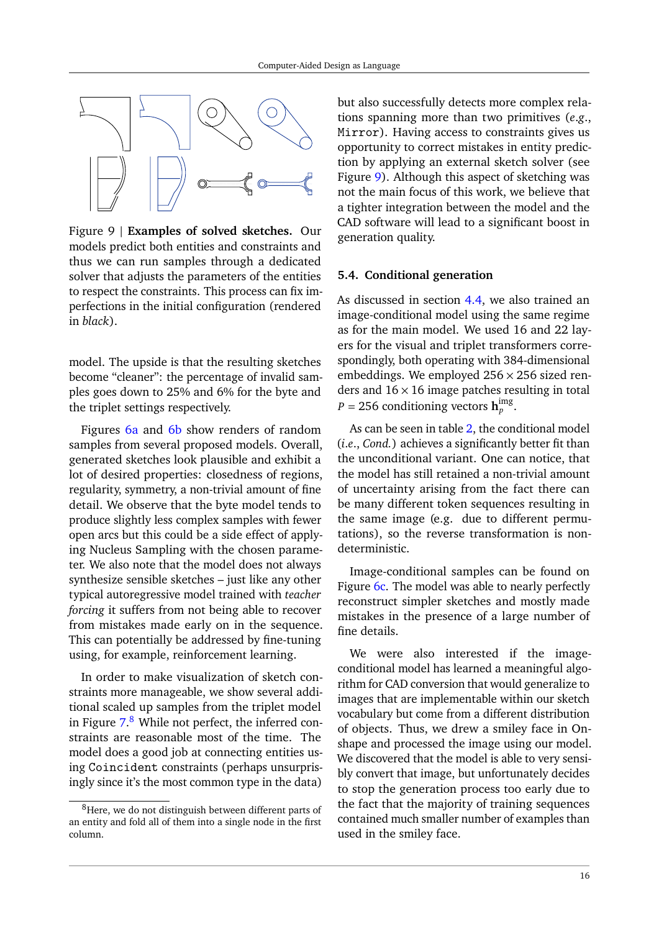<span id="page-15-1"></span>

Figure 9 | **Examples of solved sketches.** Our models predict both entities and constraints and thus we can run samples through a dedicated solver that adjusts the parameters of the entities to respect the constraints. This process can fix imperfections in the initial configuration (rendered in *black*).

model. The upside is that the resulting sketches become "cleaner": the percentage of invalid samples goes down to 25% and 6% for the byte and the triplet settings respectively.

Figures [6a](#page-10-0) and [6b](#page-10-0) show renders of random samples from several proposed models. Overall, generated sketches look plausible and exhibit a lot of desired properties: closedness of regions, regularity, symmetry, a non-trivial amount of fine detail. We observe that the byte model tends to produce slightly less complex samples with fewer open arcs but this could be a side effect of applying Nucleus Sampling with the chosen parameter. We also note that the model does not always synthesize sensible sketches – just like any other typical autoregressive model trained with *teacher forcing* it suffers from not being able to recover from mistakes made early on in the sequence. This can potentially be addressed by fine-tuning using, for example, reinforcement learning.

In order to make visualization of sketch constraints more manageable, we show several additional scaled up samples from the triplet model in Figure [7.](#page-12-0)<sup>[8](#page-15-0)</sup> While not perfect, the inferred constraints are reasonable most of the time. The model does a good job at connecting entities using Coincident constraints (perhaps unsurprisingly since it's the most common type in the data)

but also successfully detects more complex relations spanning more than two primitives (*e*.*g*., Mirror). Having access to constraints gives us opportunity to correct mistakes in entity prediction by applying an external sketch solver (see Figure [9\)](#page-15-1). Although this aspect of sketching was not the main focus of this work, we believe that a tighter integration between the model and the CAD software will lead to a significant boost in generation quality.

#### **5.4. Conditional generation**

As discussed in section [4.4,](#page-9-1) we also trained an image-conditional model using the same regime as for the main model. We used 16 and 22 layers for the visual and triplet transformers correspondingly, both operating with 384-dimensional embeddings. We employed  $256 \times 256$  sized renders and  $16 \times 16$  image patches resulting in total  $P = 256$  conditioning vectors  $\mathbf{h}_p^{\text{img}}$ .

As can be seen in table [2,](#page-11-2) the conditional model (*i*.*e*., *Cond.*) achieves a significantly better fit than the unconditional variant. One can notice, that the model has still retained a non-trivial amount of uncertainty arising from the fact there can be many different token sequences resulting in the same image (e.g. due to different permutations), so the reverse transformation is nondeterministic.

Image-conditional samples can be found on Figure [6c.](#page-10-0) The model was able to nearly perfectly reconstruct simpler sketches and mostly made mistakes in the presence of a large number of fine details.

We were also interested if the imageconditional model has learned a meaningful algorithm for CAD conversion that would generalize to images that are implementable within our sketch vocabulary but come from a different distribution of objects. Thus, we drew a smiley face in Onshape and processed the image using our model. We discovered that the model is able to very sensibly convert that image, but unfortunately decides to stop the generation process too early due to the fact that the majority of training sequences contained much smaller number of examples than used in the smiley face.

<span id="page-15-0"></span><sup>&</sup>lt;sup>8</sup>Here, we do not distinguish between different parts of an entity and fold all of them into a single node in the first column.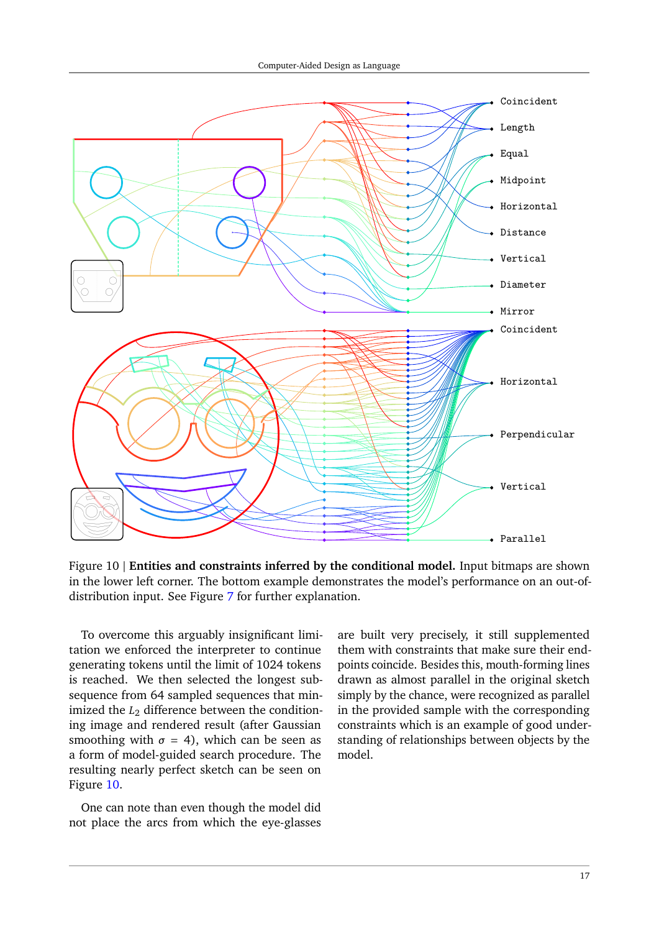<span id="page-16-0"></span>

Figure 10 | **Entities and constraints inferred by the conditional model.** Input bitmaps are shown in the lower left corner. The bottom example demonstrates the model's performance on an out-ofdistribution input. See Figure [7](#page-12-0) for further explanation.

To overcome this arguably insignificant limitation we enforced the interpreter to continue generating tokens until the limit of 1024 tokens is reached. We then selected the longest subsequence from 64 sampled sequences that minimized the  $L_2$  difference between the conditioning image and rendered result (after Gaussian smoothing with  $\sigma = 4$ ), which can be seen as a form of model-guided search procedure. The resulting nearly perfect sketch can be seen on Figure [10.](#page-16-0)

One can note than even though the model did not place the arcs from which the eye-glasses

are built very precisely, it still supplemented them with constraints that make sure their endpoints coincide. Besides this, mouth-forming lines drawn as almost parallel in the original sketch simply by the chance, were recognized as parallel in the provided sample with the corresponding constraints which is an example of good understanding of relationships between objects by the model.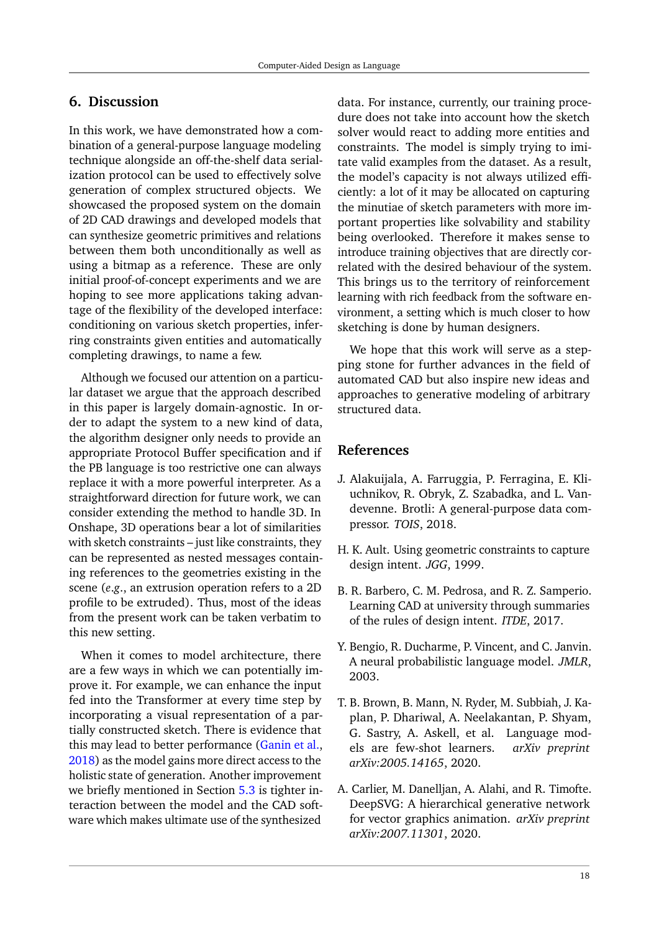# **6. Discussion**

In this work, we have demonstrated how a combination of a general-purpose language modeling technique alongside an off-the-shelf data serialization protocol can be used to effectively solve generation of complex structured objects. We showcased the proposed system on the domain of 2D CAD drawings and developed models that can synthesize geometric primitives and relations between them both unconditionally as well as using a bitmap as a reference. These are only initial proof-of-concept experiments and we are hoping to see more applications taking advantage of the flexibility of the developed interface: conditioning on various sketch properties, inferring constraints given entities and automatically completing drawings, to name a few.

Although we focused our attention on a particular dataset we argue that the approach described in this paper is largely domain-agnostic. In order to adapt the system to a new kind of data, the algorithm designer only needs to provide an appropriate Protocol Buffer specification and if the PB language is too restrictive one can always replace it with a more powerful interpreter. As a straightforward direction for future work, we can consider extending the method to handle 3D. In Onshape, 3D operations bear a lot of similarities with sketch constraints – just like constraints, they can be represented as nested messages containing references to the geometries existing in the scene (*e*.*g*., an extrusion operation refers to a 2D profile to be extruded). Thus, most of the ideas from the present work can be taken verbatim to this new setting.

When it comes to model architecture, there are a few ways in which we can potentially improve it. For example, we can enhance the input fed into the Transformer at every time step by incorporating a visual representation of a partially constructed sketch. There is evidence that this may lead to better performance [\(Ganin et al.,](#page-18-22) [2018\)](#page-18-22) as the model gains more direct access to the holistic state of generation. Another improvement we briefly mentioned in Section [5.3](#page-14-0) is tighter interaction between the model and the CAD software which makes ultimate use of the synthesized

data. For instance, currently, our training procedure does not take into account how the sketch solver would react to adding more entities and constraints. The model is simply trying to imitate valid examples from the dataset. As a result, the model's capacity is not always utilized efficiently: a lot of it may be allocated on capturing the minutiae of sketch parameters with more important properties like solvability and stability being overlooked. Therefore it makes sense to introduce training objectives that are directly correlated with the desired behaviour of the system. This brings us to the territory of reinforcement learning with rich feedback from the software environment, a setting which is much closer to how sketching is done by human designers.

We hope that this work will serve as a stepping stone for further advances in the field of automated CAD but also inspire new ideas and approaches to generative modeling of arbitrary structured data.

### **References**

- <span id="page-17-5"></span>J. Alakuijala, A. Farruggia, P. Ferragina, E. Kliuchnikov, R. Obryk, Z. Szabadka, and L. Vandevenne. Brotli: A general-purpose data compressor. *TOIS*, 2018.
- <span id="page-17-2"></span>H. K. Ault. Using geometric constraints to capture design intent. *JGG*, 1999.
- <span id="page-17-0"></span>B. R. Barbero, C. M. Pedrosa, and R. Z. Samperio. Learning CAD at university through summaries of the rules of design intent. *ITDE*, 2017.
- <span id="page-17-4"></span>Y. Bengio, R. Ducharme, P. Vincent, and C. Janvin. A neural probabilistic language model. *JMLR*, 2003.
- <span id="page-17-1"></span>T. B. Brown, B. Mann, N. Ryder, M. Subbiah, J. Kaplan, P. Dhariwal, A. Neelakantan, P. Shyam, G. Sastry, A. Askell, et al. Language models are few-shot learners. *arXiv preprint arXiv:2005.14165*, 2020.
- <span id="page-17-3"></span>A. Carlier, M. Danelljan, A. Alahi, and R. Timofte. DeepSVG: A hierarchical generative network for vector graphics animation. *arXiv preprint arXiv:2007.11301*, 2020.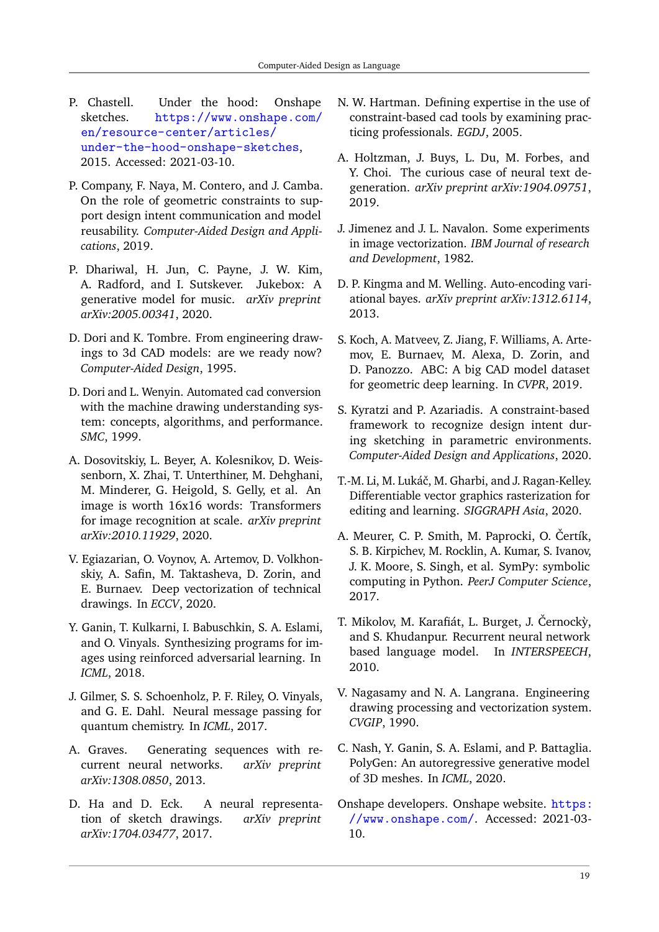- <span id="page-18-15"></span>P. Chastell. Under the hood: Onshape sketches. [https://www.onshape.com/](https://www.onshape.com/en/resource-center/articles/under-the-hood-onshape-sketches) [en/resource-center/articles/](https://www.onshape.com/en/resource-center/articles/under-the-hood-onshape-sketches) [under-the-hood-onshape-sketches](https://www.onshape.com/en/resource-center/articles/under-the-hood-onshape-sketches), 2015. Accessed: 2021-03-10.
- <span id="page-18-2"></span>P. Company, F. Naya, M. Contero, and J. Camba. On the role of geometric constraints to support design intent communication and model reusability. *Computer-Aided Design and Applications*, 2019.
- <span id="page-18-13"></span>P. Dhariwal, H. Jun, C. Payne, J. W. Kim, A. Radford, and I. Sutskever. Jukebox: A generative model for music. *arXiv preprint arXiv:2005.00341*, 2020.
- <span id="page-18-7"></span>D. Dori and K. Tombre. From engineering drawings to 3d CAD models: are we ready now? *Computer-Aided Design*, 1995.
- <span id="page-18-8"></span>D. Dori and L. Wenyin. Automated cad conversion with the machine drawing understanding system: concepts, algorithms, and performance. *SMC*, 1999.
- <span id="page-18-19"></span>A. Dosovitskiy, L. Beyer, A. Kolesnikov, D. Weissenborn, X. Zhai, T. Unterthiner, M. Dehghani, M. Minderer, G. Heigold, S. Gelly, et al. An image is worth 16x16 words: Transformers for image recognition at scale. *arXiv preprint arXiv:2010.11929*, 2020.
- <span id="page-18-12"></span>V. Egiazarian, O. Voynov, A. Artemov, D. Volkhonskiy, A. Safin, M. Taktasheva, D. Zorin, and E. Burnaev. Deep vectorization of technical drawings. In *ECCV*, 2020.
- <span id="page-18-22"></span>Y. Ganin, T. Kulkarni, I. Babuschkin, S. A. Eslami, and O. Vinyals. Synthesizing programs for images using reinforced adversarial learning. In *ICML*, 2018.
- <span id="page-18-5"></span>J. Gilmer, S. S. Schoenholz, P. F. Riley, O. Vinyals, and G. E. Dahl. Neural message passing for quantum chemistry. In *ICML*, 2017.
- <span id="page-18-17"></span>A. Graves. Generating sequences with recurrent neural networks. *arXiv preprint arXiv:1308.0850*, 2013.
- <span id="page-18-18"></span>D. Ha and D. Eck. A neural representation of sketch drawings. *arXiv preprint arXiv:1704.03477*, 2017.
- <span id="page-18-0"></span>N. W. Hartman. Defining expertise in the use of constraint-based cad tools by examining practicing professionals. *EGDJ*, 2005.
- <span id="page-18-21"></span>A. Holtzman, J. Buys, L. Du, M. Forbes, and Y. Choi. The curious case of neural text degeneration. *arXiv preprint arXiv:1904.09751*, 2019.
- <span id="page-18-6"></span>J. Jimenez and J. L. Navalon. Some experiments in image vectorization. *IBM Journal of research and Development*, 1982.
- <span id="page-18-10"></span>D. P. Kingma and M. Welling. Auto-encoding variational bayes. *arXiv preprint arXiv:1312.6114*, 2013.
- <span id="page-18-3"></span>S. Koch, A. Matveev, Z. Jiang, F. Williams, A. Artemov, E. Burnaev, M. Alexa, D. Zorin, and D. Panozzo. ABC: A big CAD model dataset for geometric deep learning. In *CVPR*, 2019.
- <span id="page-18-1"></span>S. Kyratzi and P. Azariadis. A constraint-based framework to recognize design intent during sketching in parametric environments. *Computer-Aided Design and Applications*, 2020.
- <span id="page-18-11"></span>T.-M. Li, M. Lukáč, M. Gharbi, and J. Ragan-Kelley. Differentiable vector graphics rasterization for editing and learning. *SIGGRAPH Asia*, 2020.
- <span id="page-18-20"></span>A. Meurer, C. P. Smith, M. Paprocki, O. Čertík, S. B. Kirpichev, M. Rocklin, A. Kumar, S. Ivanov, J. K. Moore, S. Singh, et al. SymPy: symbolic computing in Python. *PeerJ Computer Science*, 2017.
- <span id="page-18-16"></span>T. Mikolov, M. Karafiát, L. Burget, J. Černock`y, and S. Khudanpur. Recurrent neural network based language model. In *INTERSPEECH*, 2010.
- <span id="page-18-9"></span>V. Nagasamy and N. A. Langrana. Engineering drawing processing and vectorization system. *CVGIP*, 1990.
- <span id="page-18-14"></span>C. Nash, Y. Ganin, S. A. Eslami, and P. Battaglia. PolyGen: An autoregressive generative model of 3D meshes. In *ICML*, 2020.
- <span id="page-18-4"></span>Onshape developers. Onshape website. [https:](https://www.onshape.com/) [//www.onshape.com/](https://www.onshape.com/). Accessed: 2021-03- 10.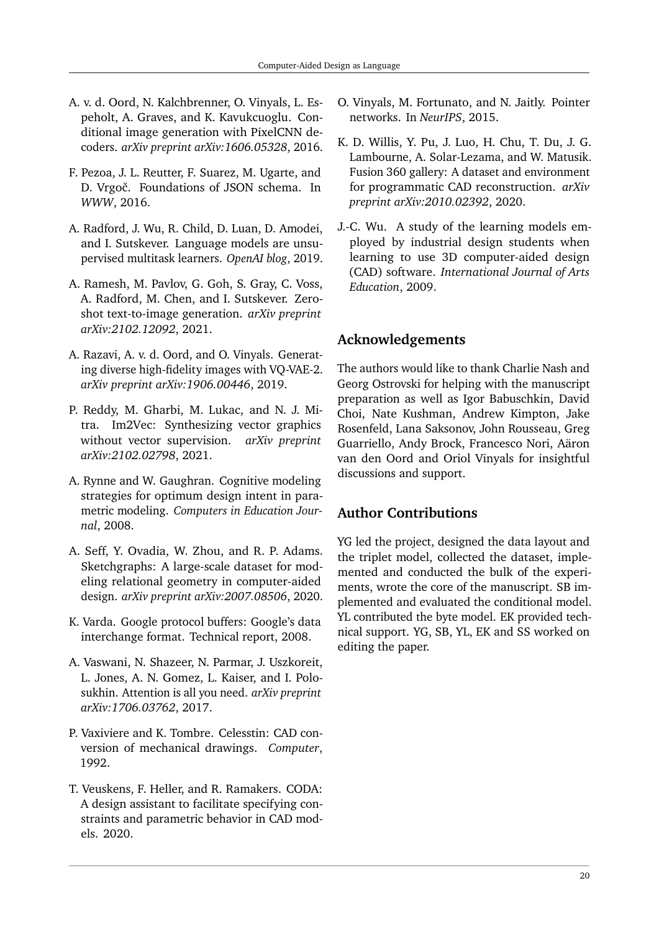- <span id="page-19-14"></span>A. v. d. Oord, N. Kalchbrenner, O. Vinyals, L. Espeholt, A. Graves, and K. Kavukcuoglu. Conditional image generation with PixelCNN decoders. *arXiv preprint arXiv:1606.05328*, 2016.
- <span id="page-19-13"></span>F. Pezoa, J. L. Reutter, F. Suarez, M. Ugarte, and D. Vrgoč. Foundations of JSON schema. In *WWW*, 2016.
- <span id="page-19-2"></span>A. Radford, J. Wu, R. Child, D. Luan, D. Amodei, and I. Sutskever. Language models are unsupervised multitask learners. *OpenAI blog*, 2019.
- <span id="page-19-11"></span>A. Ramesh, M. Pavlov, G. Goh, S. Gray, C. Voss, A. Radford, M. Chen, and I. Sutskever. Zeroshot text-to-image generation. *arXiv preprint arXiv:2102.12092*, 2021.
- <span id="page-19-12"></span>A. Razavi, A. v. d. Oord, and O. Vinyals. Generating diverse high-fidelity images with VQ-VAE-2. *arXiv preprint arXiv:1906.00446*, 2019.
- <span id="page-19-10"></span>P. Reddy, M. Gharbi, M. Lukac, and N. J. Mitra. Im2Vec: Synthesizing vector graphics without vector supervision. *arXiv preprint arXiv:2102.02798*, 2021.
- <span id="page-19-1"></span>A. Rynne and W. Gaughran. Cognitive modeling strategies for optimum design intent in parametric modeling. *Computers in Education Journal*, 2008.
- <span id="page-19-7"></span>A. Seff, Y. Ovadia, W. Zhou, and R. P. Adams. Sketchgraphs: A large-scale dataset for modeling relational geometry in computer-aided design. *arXiv preprint arXiv:2007.08506*, 2020.
- <span id="page-19-4"></span>K. Varda. Google protocol buffers: Google's data interchange format. Technical report, 2008.
- <span id="page-19-3"></span>A. Vaswani, N. Shazeer, N. Parmar, J. Uszkoreit, L. Jones, A. N. Gomez, L. Kaiser, and I. Polosukhin. Attention is all you need. *arXiv preprint arXiv:1706.03762*, 2017.
- <span id="page-19-9"></span>P. Vaxiviere and K. Tombre. Celesstin: CAD conversion of mechanical drawings. *Computer*, 1992.
- <span id="page-19-5"></span>T. Veuskens, F. Heller, and R. Ramakers. CODA: A design assistant to facilitate specifying constraints and parametric behavior in CAD models. 2020.
- <span id="page-19-6"></span>O. Vinyals, M. Fortunato, and N. Jaitly. Pointer networks. In *NeurIPS*, 2015.
- <span id="page-19-8"></span>K. D. Willis, Y. Pu, J. Luo, H. Chu, T. Du, J. G. Lambourne, A. Solar-Lezama, and W. Matusik. Fusion 360 gallery: A dataset and environment for programmatic CAD reconstruction. *arXiv preprint arXiv:2010.02392*, 2020.
- <span id="page-19-0"></span>J.-C. Wu. A study of the learning models employed by industrial design students when learning to use 3D computer-aided design (CAD) software. *International Journal of Arts Education*, 2009.

# **Acknowledgements**

The authors would like to thank Charlie Nash and Georg Ostrovski for helping with the manuscript preparation as well as Igor Babuschkin, David Choi, Nate Kushman, Andrew Kimpton, Jake Rosenfeld, Lana Saksonov, John Rousseau, Greg Guarriello, Andy Brock, Francesco Nori, Aäron van den Oord and Oriol Vinyals for insightful discussions and support.

# **Author Contributions**

YG led the project, designed the data layout and the triplet model, collected the dataset, implemented and conducted the bulk of the experiments, wrote the core of the manuscript. SB implemented and evaluated the conditional model. YL contributed the byte model. EK provided technical support. YG, SB, YL, EK and SS worked on editing the paper.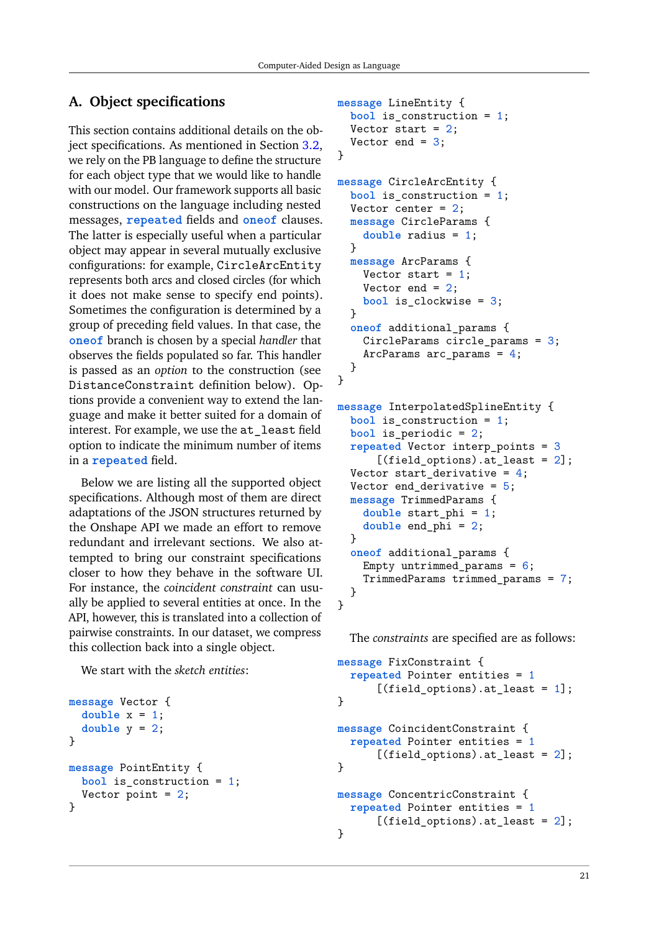# <span id="page-20-0"></span>**A. Object specifications**

This section contains additional details on the object specifications. As mentioned in Section [3.2,](#page-4-1) we rely on the PB language to define the structure for each object type that we would like to handle with our model. Our framework supports all basic constructions on the language including nested messages, **repeated** fields and **oneof** clauses. The latter is especially useful when a particular object may appear in several mutually exclusive configurations: for example, CircleArcEntity represents both arcs and closed circles (for which it does not make sense to specify end points). Sometimes the configuration is determined by a group of preceding field values. In that case, the **oneof** branch is chosen by a special *handler* that observes the fields populated so far. This handler is passed as an *option* to the construction (see DistanceConstraint definition below). Options provide a convenient way to extend the language and make it better suited for a domain of interest. For example, we use the at\_least field option to indicate the minimum number of items in a **repeated** field.

Below we are listing all the supported object specifications. Although most of them are direct adaptations of the JSON structures returned by the Onshape API we made an effort to remove redundant and irrelevant sections. We also attempted to bring our constraint specifications closer to how they behave in the software UI. For instance, the *coincident constraint* can usually be applied to several entities at once. In the API, however, this is translated into a collection of pairwise constraints. In our dataset, we compress this collection back into a single object.

We start with the *sketch entities*:

```
message Vector {
  double x = 1;
  double y = 2;
}
message PointEntity {
  bool is_construction = 1;
  Vector point = 2;
}
```

```
message LineEntity {
  bool is construction = 1;
  Vector start = 2;
  Vector end = 3;
}
message CircleArcEntity {
  bool is_construction = 1;
  Vector center = 2;
  message CircleParams {
    double radius = 1;
  }
  message ArcParams {
    Vector start = 1;
    Vector end = 2;
    bool is_clockwise = 3;
  }
  oneof additional_params {
    CircleParams circle_params = 3;
    ArcParams arc_params = 4;
  }
}
message InterpolatedSplineEntity {
  bool is_construction = 1;
  bool is_periodic = 2;
  repeated Vector interp_points = 3
      [(field_options).at_least = 2];
  Vector start_derivative = 4;
  Vector end_derivative = 5;
  message TrimmedParams {
    double start_phi = 1;
    double end_phi = 2;
  }
  oneof additional_params {
    Empty untrimmed_params = 6;
    TrimmedParams trimmed_params = 7;
  }
}
```
The *constraints* are specified are as follows:

```
message FixConstraint {
  repeated Pointer entities = 1
      [(field_options).at_least = 1];
}
message CoincidentConstraint {
  repeated Pointer entities = 1
      [(field_options).at_least = 2];
}
message ConcentricConstraint {
  repeated Pointer entities = 1
      [(field_options).at_least = 2];
}
```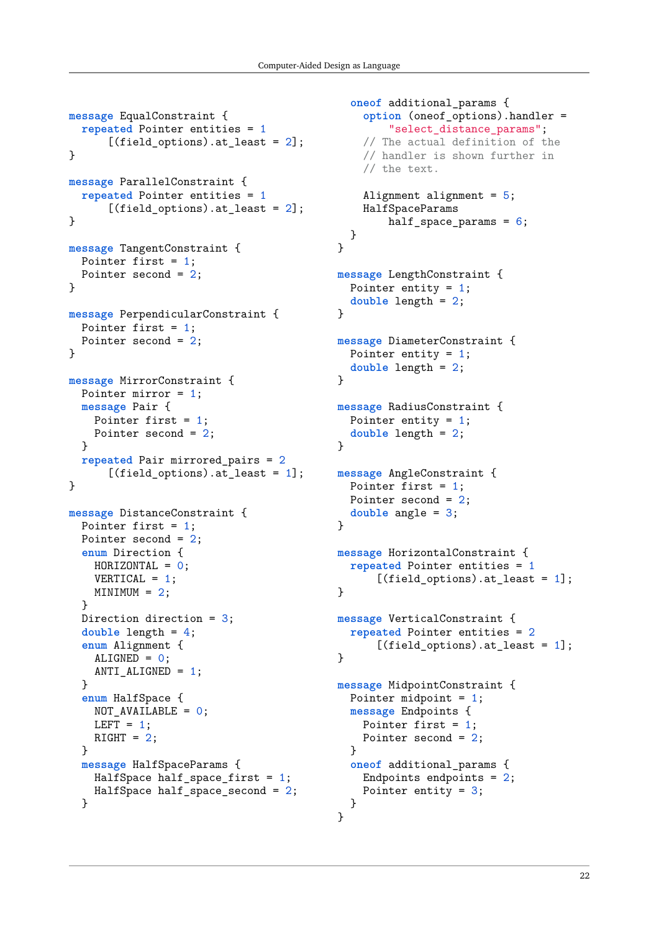```
message EqualConstraint {
  repeated Pointer entities = 1
      [(field_options).at_least = 2];
}
message ParallelConstraint {
 repeated Pointer entities = 1
      [(field_options).at_least = 2];}
message TangentConstraint {
 Pointer first = 1;
 Pointer second = 2;
}
message PerpendicularConstraint {
 Pointer first = 1;
  Pointer second = 2;
}
message MirrorConstraint {
  Pointer mirror = 1;
  message Pair {
   Pointer first = 1;
   Pointer second = 2;
  }
  repeated Pair mirrored_pairs = 2
      [(field_options).at_least = 1];
}
message DistanceConstraint {
  Pointer first = 1;
  Pointer second = 2;
  enum Direction {
    HORIZONTAL = 0;
    VERTICAL = 1;
   MINIMUM = 2;}
  Direction direction = 3;
  double length = 4;
  enum Alignment {
   ALIGNED = 0;ANTI_ALIGNED = 1;
  }
  enum HalfSpace {
    NOT AVAILABLE = 0;
   LEFT = 1;
   RIGHT = 2;}
  message HalfSpaceParams {
   HalfSpace half_space_first = 1;
   HalfSpace half_space_second = 2;
  }
```

```
oneof additional_params {
    option (oneof_options).handler =
        "select_distance_params";
    // The actual definition of the
    // handler is shown further in
    // the text.
    Alignment alignment = 5;
   HalfSpaceParams
        half_space_params = 6;
 }
}
message LengthConstraint {
 Pointer entity = 1;
  double length = 2;
}
message DiameterConstraint {
  Pointer entity = 1;
  double length = 2;
}
message RadiusConstraint {
  Pointer entity = 1;
  double length = 2;
}
message AngleConstraint {
  Pointer first = 1;
  Pointer second = 2;
  double angle = 3;
}
message HorizontalConstraint {
  repeated Pointer entities = 1
      [(field_options).at_least = 1];}
message VerticalConstraint {
  repeated Pointer entities = 2
      [(field_options).at_least = 1];
}
message MidpointConstraint {
  Pointer midpoint = 1;
  message Endpoints {
    Pointer first = 1;
    Pointer second = 2;
  }
  oneof additional_params {
    Endpoints endpoints = 2;
    Pointer entity = 3;
 }
}
```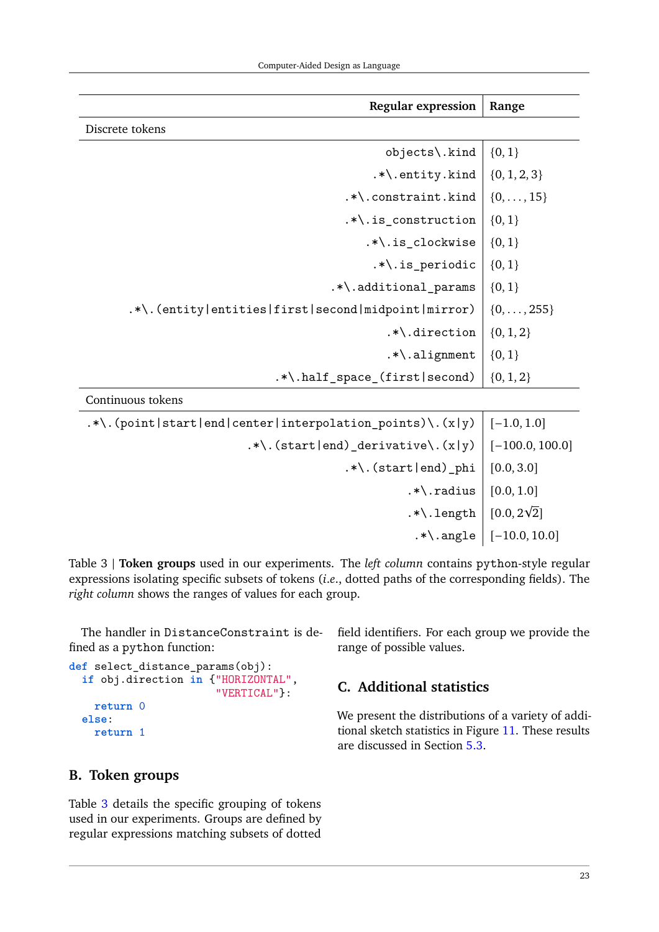<span id="page-22-1"></span>

| <b>Regular expression</b>                                       | Range                |
|-----------------------------------------------------------------|----------------------|
| Discrete tokens                                                 |                      |
| objects\.kind                                                   | $\{0, 1\}$           |
| $.*\$ .entity.kind                                              | $\{0, 1, 2, 3\}$     |
| $.*\backslash$ . $\mathtt{constraint}.$ kind                    | $\{0, \ldots, 15\}$  |
| $.*\iota$ .is_construction                                      | $\{0, 1\}$           |
| $.*\iota$ .is_clockwise                                         | $\{0, 1\}$           |
| $.*\iota$ .is_periodic                                          | $\{0, 1\}$           |
| $.*\backslash$ .additional_params                               | $\{0, 1\}$           |
| .*\.(entity entities first second midpoint mirror)              | $\{0, \ldots, 255\}$ |
| $.* \backslash$ .direction                                      | $\{0, 1, 2\}$        |
| $.*\$ .alignment                                                | $\{0, 1\}$           |
| .*\.half_space_(first second)                                   | $\{0, 1, 2\}$        |
| Continuous tokens                                               |                      |
| .*\.(point start end center interpolation_points)\.(x y)        | $[-1.0, 1.0]$        |
| $.*\backslash$ . (start   end) _derivative $\backslash$ . (x y) | $[-100.0, 100.0]$    |
| $.*\backslash$ . (start   end) _phi                             | [0.0, 3.0]           |
| $.*\$ .radius                                                   | [0.0, 1.0]           |
| $.*\.\$                                                         | $[0.0, 2\sqrt{2}]$   |
| $.*\ .$ angle                                                   | $[-10.0, 10.0]$      |

Table 3 | **Token groups** used in our experiments. The *left column* contains python-style regular expressions isolating specific subsets of tokens (*i*.*e*., dotted paths of the corresponding fields). The *right column* shows the ranges of values for each group.

The handler in DistanceConstraint is defined as a python function:

```
def select_distance_params(obj):
  if obj.direction in {"HORIZONTAL",
                       "VERTICAL"}:
   return 0
  else:
    return 1
```
field identifiers. For each group we provide the range of possible values.

# **C. Additional statistics**

We present the distributions of a variety of additional sketch statistics in Figure [11.](#page-23-0) These results are discussed in Section [5.3.](#page-14-0)

# <span id="page-22-0"></span>**B. Token groups**

Table [3](#page-22-1) details the specific grouping of tokens used in our experiments. Groups are defined by regular expressions matching subsets of dotted